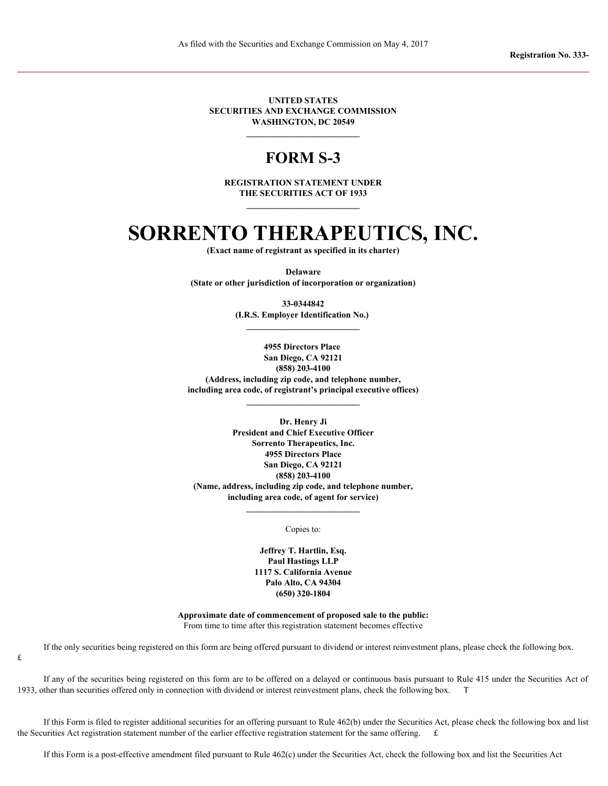**UNITED STATES SECURITIES AND EXCHANGE COMMISSION wASHINGTON, DC 20549**

**\_\_\_\_\_\_\_\_\_\_\_\_\_\_\_\_\_\_\_\_\_\_\_\_\_\_**

**\_\_\_\_\_\_\_\_\_\_\_\_\_\_\_\_\_\_\_\_\_\_\_\_\_\_**

**\_\_\_\_\_\_\_\_\_\_\_\_\_\_\_\_\_\_\_\_\_\_\_\_\_\_**

**\_\_\_\_\_\_\_\_\_\_\_\_\_\_\_\_\_\_\_\_\_\_\_\_\_\_**

**\_\_\_\_\_\_\_\_\_\_\_\_\_\_\_\_\_\_\_\_\_\_\_\_\_\_**

### **FORM S-3**

**REGISTRATION STATEMENT UNDER THE SECURITIES ACT OF 1933**

## **SORRENTO THERAPEUTICS, INC.**

**(Exact name of registrant as specified in its charter)**

**Delaware**

**(State or other jurisdiction of incorporation or organization)**

**33-0344842 (I.R.S. Employer Identification No.)** 

**4955 Directors Place San Diego, CA 92121 (858) 203-4100 (Address, including zip code, and telephone number, including area code, of registrant's principal executive offices)**

**Dr. Henry Ji President and Chief Executive Officer Sorrento Therapeutics, Inc. 4955 Directors Place San Diego, CA 92121 (858) 203-4100 (Name, address, including zip code, and telephone number, including area code, of agent for service)**

Copies to:

**Jeffrey T. Hartlin, Esq. Paul Hastings LLP 1117 S. California Avenue Palo Alto, CA 94304 (650) 320-1804**

**Approximate date of commencement of proposed sale to the public:** From time to time after this registration statement becomes effective

If the only securities being registered on this form are being offered pursuant to dividend or interest reinvestment plans, please check the following box.  $f(x)$ 

If any of the securities being registered on this form are to be offered on a delayed or continuous basis pursuant to Rule 415 under the Securities Act of 1933, other than securities offered only in connection with dividend or interest reinvestment plans, check the following box. T

If this Form is filed to register additional securities for an offering pursuant to Rule 462(b) under the Securities Act, please check the following box and list the Securities Act registration statement number of the earlier effective registration statement for the same offering.  $\&$ 

If this Form is a post-effective amendment filed pursuant to Rule 462(c) under the Securities Act, check the following box and list the Securities Act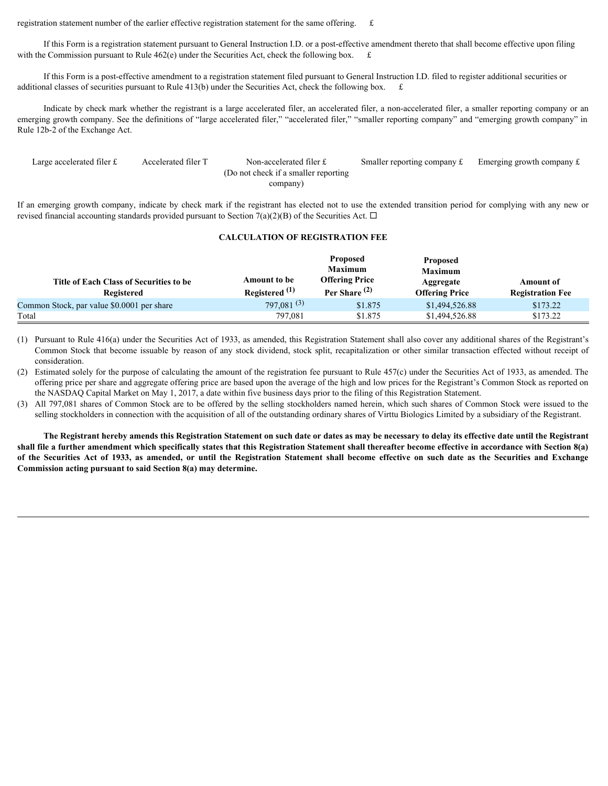registration statement number of the earlier effective registration statement for the same offering.  $\&$ 

If this Form is a registration statement pursuant to General Instruction I.D. or a post-effective amendment thereto that shall become effective upon filing with the Commission pursuant to Rule 462(e) under the Securities Act, check the following box.  $\&$ 

If this Form is a post-effective amendment to a registration statement filed pursuant to General Instruction I.D. filed to register additional securities or additional classes of securities pursuant to Rule 413(b) under the Securities Act, check the following box.  $\pm$ 

Indicate by check mark whether the registrant is a large accelerated filer, an accelerated filer, a non-accelerated filer, a smaller reporting company or an emerging growth company. See the definitions of "large accelerated filer," "accelerated filer," "smaller reporting company" and "emerging growth company" in Rule 12b-2 of the Exchange Act.

| Large accelerated filer £ | Accelerated filer T | Non-accelerated filer £               | Smaller reporting company $\ddot{\mathcal{L}}$ | Emerging growth company $\ddagger$ |
|---------------------------|---------------------|---------------------------------------|------------------------------------------------|------------------------------------|
|                           |                     | (Do not check if a smaller reporting) |                                                |                                    |
|                           |                     | company)                              |                                                |                                    |

#### **CALCULATION OF REGISTRATION FEE**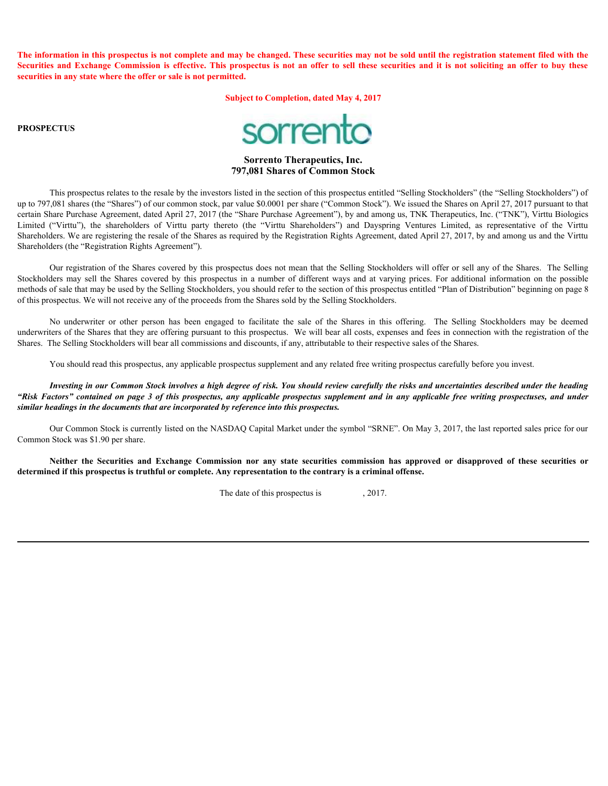**The information in this prospectus is not complete and may be changed. These securities may not be sold until the registration statement filed with the** The information in this prospectus is not complete and may be changed. These securities may not be sold until the registration statement filed with the securities and Exchange Commission is effective. This prospectus is no **securities in any state where the offer or sale is not permitted.**

**Subject to Completion, dated May 4, 2017**



#### **Sorrento Therapeutics, Inc. 797,081 Shares of Common Stock**

This prospectus relates to the resale by the investors listed in the section of this prospectus entitled "Selling Stockholders" (the "Selling Stockholders") of up to 797,081 shares (the "Shares") of our common stock, par value \$0.0001 per share ("Common Stock"). We issued the Shares on April 27, 2017 pursuant to that certain Share Purchase Agreement, dated April 27, 2017 (the "Share Purchase Agreement"), by and among us, TNK Therapeutics, Inc. ("TNK"), Virttu Biologics<br>Limited ("Virttu"), the shareholders of Virttu party thereto (the " The information in this prospectus is not complete and may be changed. These securities may not be sold until the registration statement filed with the Securities and Evichape Commission is effective. This prospectus of t Shareholders. We are registering the resale of the Shares as required by the Registration Rights Agreement, dated April 27, 2017, by and among us and the Virttu Shareholders (the "Registration Rights Agreement"). The information in this prospectus is not complete and may be changed. These securities may not be sold until the registration statement filed with the Securities in ay state where the offer or sale is not premitted.<br>
Sub Framelian in this prospectus is not complete and may be changed. These weartifies may not be uld until the registration statement field with the sale of facilitate of commission is effective. This prospectus is not of the Exercise in any state where the offer or sale is not permitted.<br> **Exercise in any state where the offer or sale is not permitted.**<br> **Exercise to Completion, dated May 4, 2017**<br> **PROSPECTUS**<br> **EXERCITES**<br> **EXERCITENTS:**<br> **E Facture 2** Completion, dated May 4, 2017<br> **Facture 2** Completion, the state is and permitted.<br> **Factors Completion, the state of the state is and permitted.**<br> **Factors Completion, the state of the state is and permitted.** Assume the other or sule in any principal and the state of the system and in the system of the system of the system of the system of the system of the system of the system of the system of the system of the system of the s **For the set of the state of permitted.**<br> **Subject to Completion, dated May 4, 2017**<br>
Subject to Completion, dated May 4, 2017<br>
Subject to Completion, dated May 4, 2017<br>
Subject to Completion, dated May 4, 2017<br>
Subject to **Example 10**<br> **Example 10**<br> **Example 10**<br> **Example 10**<br> **Example 10**<br> **Example 10**<br> **Example 10**<br> **Example 10**<br> **Example 10**<br> **Example 10**<br> **Example 10**<br> **Example 10**<br> **Example 10**<br> **Example 10**<br> **Example 10**<br> **Example 10** Example the state of the properties of the state of the state of the state of the state of the state of the state of the state of the state of the state of the state of the state of the state of the state of the state of t **or sale is not permitted. Such that the sale of Alling Schemation and** *is* **a fact solution, and the sale of the sale of Such states and permitted.<br>
Subject to Completion, dated May 4, 2017<br>
Subject to Completion, dated** Anti-his matrix and the state of the state of the state of the state of this method is the state of the state of the state of the state of the state of the state of the state of the state of the state of the state of the s **Example 18 and the United States and Acts of AT and Acts of AT and Acts of Bernards and ACTS and permutted.<br>
<b>Solution the section of the prospectus, the CMS**<br> **SOCK COMPROPERTING**<br> **SOCK COMPROPERTING**<br> **PROPERTING**<br> **PR Example 18 and the Manual Action And Action and Action Studies and Action Studies (and the Manual Studies to Completion, dated May 4, 2017<br>
<b>SONT CENT THEORE CONSET ADVENTS CONSET AND CONSET CONSET (ASSESS)** THEORET STARS **Example 10** and which is An unity of Marcuster and it is the statement of these securities or the statement of the SMI Solven and the section of the SMI Shares of Common Sock."). We issued the Shares on April 27, 2017 pur **Product the Set and Set and Set and Set and Set and Set and Set and Set and Set and Set and Set and Set and Set and Set and Set and Set and Set and Set and Set and Set and Set and Set and Set and Set and Set and Set and S Example 18 and 18 and 18 and 18 and 18 and 18 and 18 and 18 and 18 and 18 and 18 and 18 and 18 and 18 and 18 and 18 and 18 and 18 and 18 and 18 and 18 and 18 and 18 and 18 and 18 procedus Propagation Sirock") of "Common S** *and* **Example 18** and *R* is not someting an once to bay these the Selling Stockholders" of the "Selling Stockholders" of the shares on April 27, 2017 pursuant to that also gens TNK Therapeutics, Inc. ("TNK"). Virtu Biologies i "Selling Stockholders" (the "Selling Stockholders") of<br>
"Selling Stockholders" (the "Selling Stockholders") of<br>
We issued the Shares on April 27, 2017 pursuant to that<br>
us, TNK Therapeutics, Inc. ("TNK"), Virttu Biologics<br> Imp Stockholders" (the "Selling Stockholders") of<br>
susue the Shares on April 27, 2017 pursuant to that<br>
susue the Shares on April 27, 2017 pursuant to that<br>
APNK Therapeutics, Inc. ("TNK"), Virtu Biologies<br>
entures Limited <sup>8</sup><sup>2</sup> (the "Selling Stockholders") of<br>
on April 27, 2017 pursuant to that<br> *writh* and the select the Virtu Biologics<br>
as representative of the Virtu<br>
<sup>1</sup>, by and among us and the Virtu<br>
<sup>1</sup>, by and among us and the Virtu **Selling Stockholders**") of 27, 2017 pursuant to that "TNK"), Virtu Biologics FORK"), Virtu Biologics and the Virtu among us and the Virtu among us and the Virtu of the Shares. The Selling ormation on the possible ion" beg olders") of<br>
uant to that<br> *a* Biologics<br>
the Virttu<br>
the Virttu<br>
The Selling<br>
pe possible<br>
g on page 8<br>
be deemed<br>
tion of the<br> *ae heading*<br>
and under<br>
rice for our<br>
curities or **Next the properties selence to the result by the investment interaction in the control interaction in the securities in the securities in the securities in the securities in the securities in the securities in the securit** 

Our registration of the Shares covered by this prospectus does not mean that the Selling Stockholders will offer or sell any of the Shares. The Selling methods of sale that may be used by the Selling Stockholders, you should refer to the section of this prospectus entitled "Plan of Distribution" beginning on page 8 of this prospectus. We will not receive any of the proceeds from the Shares sold by the Selling Stockholders.

underwriters of the Shares that they are offering pursuant to this prospectus. We will bear all costs, expenses and fees in connection with the registration of the Shares. The Selling Stockholders will bear all commissions and discounts, if any, attributable to their respective sales of the Shares.

You should read this prospectus, any applicable prospectus supplement and any related free writing prospectus carefully before you invest.

Investing in our Common Stock involves a high degree of risk. You should review carefully the risks and uncertainties described under the heading *free writing prospectuses, and under similar headings in the documents that are incorporated by reference into this prospectus.*

Our Common Stock is currently listed on the NASDAQ Capital Market under the symbol "SRNE". On May 3, 2017, the last reported sales price for our Common Stock was \$1.90 per share.

**determined if this prospectus is truthful or complete. Any representation to the contrary is a criminal offense.**

The date of this prospectus is  $.2017$ .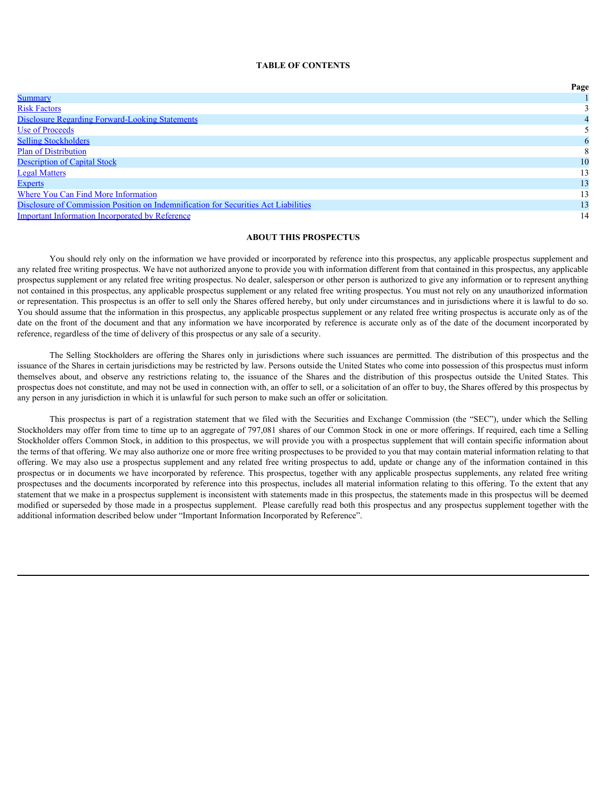#### **TABLE OF CONTENTS**

|                                                                                                                                                                                                                                                                                                                                                                                                                                                                                                                                                                                                                                                                                                                                                                                                                                                                                                                                                                                                                                                                                                                                                                                                                                                                                                                     | Page |
|---------------------------------------------------------------------------------------------------------------------------------------------------------------------------------------------------------------------------------------------------------------------------------------------------------------------------------------------------------------------------------------------------------------------------------------------------------------------------------------------------------------------------------------------------------------------------------------------------------------------------------------------------------------------------------------------------------------------------------------------------------------------------------------------------------------------------------------------------------------------------------------------------------------------------------------------------------------------------------------------------------------------------------------------------------------------------------------------------------------------------------------------------------------------------------------------------------------------------------------------------------------------------------------------------------------------|------|
| <b>Summary</b>                                                                                                                                                                                                                                                                                                                                                                                                                                                                                                                                                                                                                                                                                                                                                                                                                                                                                                                                                                                                                                                                                                                                                                                                                                                                                                      |      |
| <b>Risk Factors</b>                                                                                                                                                                                                                                                                                                                                                                                                                                                                                                                                                                                                                                                                                                                                                                                                                                                                                                                                                                                                                                                                                                                                                                                                                                                                                                 |      |
| <b>Disclosure Regarding Forward-Looking Statements</b>                                                                                                                                                                                                                                                                                                                                                                                                                                                                                                                                                                                                                                                                                                                                                                                                                                                                                                                                                                                                                                                                                                                                                                                                                                                              |      |
| <b>Use of Proceeds</b>                                                                                                                                                                                                                                                                                                                                                                                                                                                                                                                                                                                                                                                                                                                                                                                                                                                                                                                                                                                                                                                                                                                                                                                                                                                                                              |      |
| <b>Selling Stockholders</b>                                                                                                                                                                                                                                                                                                                                                                                                                                                                                                                                                                                                                                                                                                                                                                                                                                                                                                                                                                                                                                                                                                                                                                                                                                                                                         |      |
| <b>Plan of Distribution</b>                                                                                                                                                                                                                                                                                                                                                                                                                                                                                                                                                                                                                                                                                                                                                                                                                                                                                                                                                                                                                                                                                                                                                                                                                                                                                         | 8    |
| <b>Description of Capital Stock</b>                                                                                                                                                                                                                                                                                                                                                                                                                                                                                                                                                                                                                                                                                                                                                                                                                                                                                                                                                                                                                                                                                                                                                                                                                                                                                 | 10   |
| <b>Legal Matters</b>                                                                                                                                                                                                                                                                                                                                                                                                                                                                                                                                                                                                                                                                                                                                                                                                                                                                                                                                                                                                                                                                                                                                                                                                                                                                                                | 13   |
| <b>Experts</b>                                                                                                                                                                                                                                                                                                                                                                                                                                                                                                                                                                                                                                                                                                                                                                                                                                                                                                                                                                                                                                                                                                                                                                                                                                                                                                      | 13   |
| Where You Can Find More Information                                                                                                                                                                                                                                                                                                                                                                                                                                                                                                                                                                                                                                                                                                                                                                                                                                                                                                                                                                                                                                                                                                                                                                                                                                                                                 | 13   |
| Disclosure of Commission Position on Indemnification for Securities Act Liabilities                                                                                                                                                                                                                                                                                                                                                                                                                                                                                                                                                                                                                                                                                                                                                                                                                                                                                                                                                                                                                                                                                                                                                                                                                                 | 13   |
| <b>Important Information Incorporated by Reference</b>                                                                                                                                                                                                                                                                                                                                                                                                                                                                                                                                                                                                                                                                                                                                                                                                                                                                                                                                                                                                                                                                                                                                                                                                                                                              | 14   |
| <b>ABOUT THIS PROSPECTUS</b><br>You should rely only on the information we have provided or incorporated by reference into this prospectus, any applicable prospectus supplement and<br>any related free writing prospectus. We have not authorized anyone to provide you with information different from that contained in this prospectus, any applicable<br>prospectus supplement or any related free writing prospectus. No dealer, salesperson or other person is authorized to give any information or to represent anything<br>not contained in this prospectus, any applicable prospectus supplement or any related free writing prospectus. You must not rely on any unauthorized information<br>or representation. This prospectus is an offer to sell only the Shares offered hereby, but only under circumstances and in jurisdictions where it is lawful to do so.<br>You should assume that the information in this prospectus, any applicable prospectus supplement or any related free writing prospectus is accurate only as of the<br>date on the front of the document and that any information we have incorporated by reference is accurate only as of the date of the document incorporated by<br>reference, regardless of the time of delivery of this prospectus or any sale of a security. |      |
| The Selling Stockholders are offering the Shares only in jurisdictions where such issuances are permitted. The distribution of this prospectus and the<br>issuance of the Shares in certain jurisdictions may be restricted by law. Persons outside the United States who come into possession of this prospectus must inform<br>themselves about, and observe any restrictions relating to, the issuance of the Shares and the distribution of this prospectus outside the United States. This<br>prospectus does not constitute, and may not be used in connection with, an offer to sell, or a solicitation of an offer to buy, the Shares offered by this prospectus by                                                                                                                                                                                                                                                                                                                                                                                                                                                                                                                                                                                                                                         |      |

#### **ABOUT THIS PROSPECTUS**

Stockholders may offer from time to time up to an aggregate of 797,081 shares of our Common Stock in one or more offerings. If required, each time a Selling Stockholder offers Common Stock, in addition to this prospectus, we will provide you with a prospectus supplement that will contain specific information about the terms of that offering. We may also authorize one or more free writing prospectuses to be provided to you that may contain material information relating to that offering. We may also use a prospectus supplement and any related free writing prospectus to add, update or change any of the information contained in this prospectus or in documents we have incorporated by reference. This prospectus, together with any applicable prospectus supplements, any related free writing prospectuses and the documents incorporated by reference into this prospectus, includes all material information relating to this offering. To the extent that any statement that we make in a prospectus supplement is inconsistent with statements made in this prospectus, the statements made in this prospectus will be deemed modified or superseded by those made in a prospectus supplement. Please carefully read both this prospectus and any prospectus supplement together with the additional information described below under "Important Information Incorporated by Reference".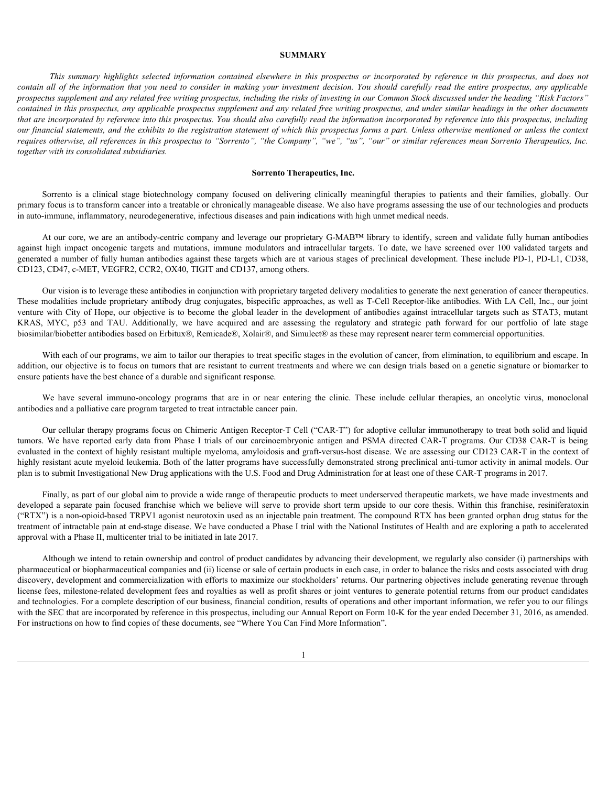#### **SUMMARy**

**SUMMARY**<br>**SUMMARY**<br>**This summary highlights selected information contained elsewhere in this prospectus or incorporated by reference in<br>** *III* **of the information that you need to consider in making your investment decisio SUMMARY**<br>**SUMMARY**<br>**summary** highlights selected information contained elsewhere in this prospectus or incorporated by reference in this prosp<br>the information that you need to consider in making your investment decision. This summary highlights selected information contained elsewhere in this prospectus or incorporated by reference in this prospectus, and does not **SUMMARY**<br>**selected information contained elsewhere in this prospectus or incorporated** by reference in this prospectus, and does ne<br>you need to consider in making your investment decision. You should carefully read the en **SUMMARY**<br>*information contained elsewhere in this prospectus or incorporated by reference in this prospectus, and does not<br>
d to consider in making your investment decision. You should carefully read the entire prospectu* **SUMMARY**<br> **contained elsewhere in this prospectus or incorporated by reference in this prospectus, and does not<br>** *c* **in making your investment decision. You should carefully read the entire prospectus, any applicable<br>
bec SUMMARY**<br>*elsewhere in this prospectus or incorporated by reference in this prospectus, and does not g your investment decision. You should carefully read the entire prospectus, any applicable uding the risks of investing* **IMARY**<br>
in this prospectus or incorporated by reference in this prospectus, and does not<br>
estiment decision. You should carefully read the entire prospectus, any applicable<br>
isks of investing in our Common Stock discussed **IARY**<br> **this prospectus or incorporated by reference in this prospectus, and does not**<br> **thent** decision. You should carefully read the entire prospectus, any applicable<br> **sof investing in our Common Stock discussed under Y**<br>*prospectus or incorporated by reference in this prospectus, and does not<br>decision. You should carefully read the entire prospectus, any applicable<br>investing in our Common Stock discussed under the heading "Risk Factor* or incorporated by reference in this prospectus, and does not<br> *ou should carefully read the entire prospectus, any applicable*<br> *our Common Stock discussed under the heading "Risk Factors"*<br> *prospectus, and under similar incorporated by reference in this prospectus, and does not should carefully read the entire prospectus, any applicable Common Stock discussed under the heading "Risk Factors" spectus, and under similar headings in the oth by reference in this prospectus, and does not <br><i>lly read the entire prospectus, any applicable*<br>*ck discussed under the heading "Risk Factors"*<br>*under similar headings in the other documents<br><i>ed by reference into this pro reference in this prospectus, and does not*<br>*read the entire prospectus, any applicable*<br>*discussed under the heading "Risk Factors"*<br>*ler similar headings in the other documents*<br>*by reference into this prospectus, inclu in this prospectus, and does not*<br> *intire prospectus, any applicable*<br> *inder the heading* "Risk Factors"<br> *headings in the other documents*<br> *ce into this prospectus, including*<br> *inentioned or unless the context*<br> *mea this prospectus, and does not*<br>*re prospectus, any applicable*<br>*er the heading* "*Risk Factors"*<br>*tadings in the other documents*<br>*into this prospectus, including*<br>*entioned or unless the context*<br>*in Sorrento Therapeutic prospectus, and does not*<br>*rospectus, any applicable*<br>*e heading "Risk Factors"*<br>*sin the other documents*<br>*this prospectus, including*<br>*med or unless the context*<br>*prrento Therapeutics, Inc. and does not*<br>*ny applicable*<br>Risk Factors"<br>*er documents*<br>*tas, including*<br>*ss the context*<br>*apeutics, Inc. does not*<br>pplicable<br>Factors"<br>*ncluding*<br>2 context<br>tics, Inc. *not contain all of the information that you need to consider in making your investment decision. You should carefully read the entire prospectus, any applicable* **SUMMARY**<br>**all of the information hat you need to consider in analytically example the information has you need to consider in making your investment in this prospectus or incorporated by reference all of the information t SUMMARY**<br>
summary highlights selected information contained elsewhere in this prospectus or incorporated by reference in<br>
of the information that you need to consider in making your investment decision. You should careful **SUMMARY**<br>**SUMMARY**<br>**the information that you need for consider in making your investment decision. You should carefully read the entire plement and any related free writing prospectus, including the risks of investment an SUMMARY**<br>**SUMMARY**<br>**information** that you need to consider in making your investment and any related py reference in this prospectus,<br>*information* that you need to consider in making your investment decision. You should **SUMMARY**<br>**SUMMARY**<br>**that you need for consider in making your investment decision. You should carefully read the entire prospectus, any a<br>***related free writing prospectus, including the risks of investment decision. You s* **SUMMARY**<br>**SUMMARY**<br>**SUMMARY**<br>*you need to consider in making your inversement decision. You should carefully read the entire prospectus, any applier<br><i>id free writing prospectus, including the risks of investing in our Co* **SUMMARY**<br>**need information contained elsewhere in this prospectus or incorporated by reference in this prospectus, and does not<br><b>need to consider in making your investment decision**. You should carefully read the entire p **SUMMARY**<br>**SUMMARY**<br>*formation contained elsewhere in this prospectus or incorporated by reference in this prospectus, and does not<br><i>to consider in making your investment decision. You should carefully read the entire pros* **SUMMARY**<br>**consider** in making your inversment decision. You should carefully read the entire prospectus, and does not<br>expansion and any inversment decision. You should carefully read the entire prospectus, any applicable<br> **SUMMARY**<br> **SUMMARY**<br> **Interpose the propose of the propose of the propose of the propose in this prospectus, and does not<br>
in making your investment decision. You should carefully read the entire prospectus, any applicabl SUMMARY**<br>**ained elsewhere in this prospectus or incorporated by reference in this prospectus, and does not making your investment decision. You should carefully read the entire prospectus, any applicable is, including the SUMMARY**<br>**SUMMARY**<br>*your investment decision. You should carefully read the entire prospectus, and does not<br>your investment decision. You should carefully read the entire prospectus, any applicable<br>ling the risks of inve* **SUMMARY**<br> *investment decision. You should carefully read the entire prospectus, and does not investment decision. You should carefully read the entire prospectus, any applicable<br>
<i>he risks of investing in our Common Sto decision. You should carefully reference in this prospectus, and does not decision. You should carefully read the entire prospectus, any applicable myesting in our Common Stock discussed under the heading "Risk Factors" f Sor incorporated by reference in this prospectus, and does not You should carefully read the entire prospectus, any applicable n our Common Stock discussed under the heading "Risk Factors" g prospectus, and under similar* incorporated by reference in this prospectus, and does not should carefully read the entire prospectus, any applicable Common Stock discussed under the heading "Risk Factors"<br>spectus, and under similar headings in the othe *cated by reference in this prospectus, and does not* carefully read the entire prospectus, any applicable on Stock discussed under the heading "Risk Factors", and under similar headings in the other documents rporated by *reference in this prospectus, and does not*<br>*read the entire prospectus, any applicable*<br>*discussed under the heading* "*Risk Factors"*<br>*er similar headings in the other documents*<br>*by reference into this prospectus, incl the entire prospectus, and does not*<br>*the entire prospectus, any applicable*<br>*sed under the heading* "*Risk Factors"*<br>*tilar headings in the other documents*<br>*ference into this prospectus, including*<br>*wise mentioned or un in this prospectus, and does not*<br> *entire prospectus, any applicable*<br> *ender the heading* "Risk Factors"<br> *r* headings in the other documents<br> *ce into this prospectus, including*<br> *e mentioned or unless the context*<br> prospectus supplement and any related free writing prospectus, including the risks of investing in our Common Stock discussed under the heading "Risk Factors" contained in this prospectus, any applicable prospectus supplement and any related free writing prospectus, and under similar headings in the other documents that are incorporated by reference into this prospectus. You should also carefully read the information incorporated by reference into this prospectus, including our financial statements, and the exhibits to the registration statement of which this prospectus forms a part. Unless otherwise mentioned or unless the context requires otherwise, all references in this prospectus to "Sorrento", "the Company", "we", "us", "our" or similar references mean Sorrento Therapeutics, Inc. *together with its consolidated subsidiaries.* SUMMARY<br>
SUMMARY<br>
SUMMARY<br>
SUMMARY<br>
SUMMARY<br>
SUMMARY<br>
SUMMARY<br>
SUMMARY<br>
SUMMARY<br>
SUMMARY<br>
SUMMARY<br>
SUMMARY<br>
SUMMARY<br>
MEDIFFERENC and the prospectus, and abost and any related protection and any related clinical correlatio **SUMMARY**<br> **SUMMARY**<br> **SUMMARY**<br> **SURMARY**<br> **SURMARY**<br> **CONDIGENTS UNITE CONSIDENT IMPACT INTERFERENCE INTERFERENCE INTERFERENCE IN A GROWING CONSIDERATION IN THE CONSIDERATION CONSIDERATION CONSIDERATION CONSIDERATION CO** venture with the summary highligher selected information contained elsewhere in this properties the properties in this properties, and does not considered the properties in the properties in the development of the global KRAS, assuming Alghlights selected information constand electroce is also proporate an incorporated by reference in this proporats, and discs not are also proporated and the material end of the proporated and the regulato This nummary have been transmitted to the enter defining the restricts of the properties of the properties of the properties of the properties of the properties of the properties of the properties are the considered and w

#### **Sorrento Therapeutics, Inc.**

primary focus is to transform cancer into a treatable or chronically manageable disease. We also have programs assessing the use of our technologies and products in auto-immune, inflammatory, neurodegenerative, infectious diseases and pain indications with high unmet medical needs.

At our core, we are an antibody-centric company and leverage our proprietary G-MAB™ library to identify, screen and validate fully human antibodies generated a number of fully human antibodies against these targets which are at various stages of preclinical development. These include PD-1, PD-L1, CD38, CD123, CD47, c-MET, VEGFR2, CCR2, OX40, TIGIT and CD137, among others.

Our vision is to leverage these antibodies in conjunction with proprietary targeted delivery modalities to generate the next generation of cancer therapeutics. These modalities include proprietary antibody drug conjugates, bispecific approaches, as well as T-Cell Receptor-like antibodies. With LA Cell, Inc., our joint biosimilar/biobetter antibodies based on Erbitux®, Remicade®, Xolair®, and Simulect® as these may represent nearer term commercial opportunities. the are non-process by the both are not the considered and the originally receive from the engines of trial properties of the engines of the engines of the engines of the engines of the engines of the engine of the engine

With each of our programs, we aim to tailor our therapies to treat specific stages in the evolution of cancer, from elimination, to equilibrium and escape. In addition, our objective is to focus on tumors that are resistant to current treatments and where we can design trials based on a genetic signature or biomarker to ensure patients have the best chance of a durable and significant response.

antibodies and a palliative care program targeted to treat intractable cancer pain.

Our cellular therapy programs focus on Chimeric Antigen Receptor-T Cell ("CAR-T") for adoptive cellular immunotherapy to treat both solid and liquid evaluated in the context of highly resistant multiple myeloma, amyloidosis and graft-versus-host disease. We are assessing our CD123 CAR-T in the context of highly resistant acute myeloid leukemia. Both of the latter programs have successfully demonstrated strong preclinical anti-tumor activity in animal models. Our plan is to submit Investigational New Drug applications with the U.S. Food and Drug Administration for at least one of these CAR-T programs in 2017.

Finally, as part of our global aim to provide a wide range of therapeutic products to meet underserved therapeutic markets, we have made investments and developed a separate pain focused franchise which we believe will serve to provide short term upside to our core thesis. Within this franchise, resiniferatoxin ("RTX") is a non-opioid-based TRPV1 agonist neurotoxin used as an injectable pain treatment. The compound RTX has been granted orphan drug status for the treatment of intractable pain at end-stage disease. We have conducted a Phase I trial with the National Institutes of Health and are exploring a path to accelerated approval with a Phase II, multicenter trial to be initiated in late 2017.

Although we intend to retain ownership and control of product candidates by advancing their development, we regularly also consider (i) partnerships with pharmaceutical or biopharmaceutical companies and (ii) license or sale of certain products in each case, in order to balance the risks and costs associated with drug discovery, development and commercialization with efforts to maximize our stockholders' returns. Our partnering objectives include generating revenue through license fees, milestone-related development fees and royalties as well as profit shares or joint ventures to generate potential returns from our product candidates and technologies. For a complete description of our business, financial condition, results of operations and other important information, we refer you to our filings with the SEC that are incorporated by reference in this prospectus, including our Annual Report on Form 10-K for the year ended December 31, 2016, as amended. For instructions on how to find copies of these documents, see "Where You Can Find More Information".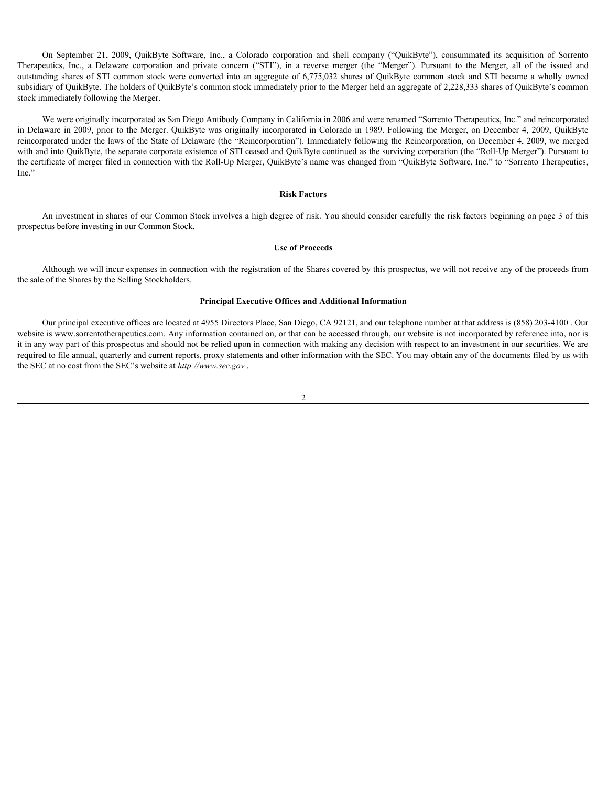On September 21, 2009, QuikByte Software, Inc., a Colorado corporation and shell company ("QuikByte"), consummated its acquisition of Sorrento euties, Inc., a Delaware corporation and private concern ("STI"), in a reverse On September 21, 2009, QuikByte Software, Inc., a Colorado corporation and shell company ("QuikByte"), consummated its acquisition of Sorrento<br>Therapeutics, Inc., a Delaware corporation and private concern ("STI"), in a re On September 21, 2009, QuikByte Software, Inc., a Colorado corporation and shell company ("QuikByte"), consummated its acquisition of Sorrento<br>Therapeutics, Inc., a Delaware corporation and private concert ("STI"), in a re subsidiary of QuikByte. The holders of QuikByte's common stock immediately prior to the Merger held an aggregate of 2,228,333 shares of QuikByte's common stock immediately following the Merger.

We were originally incorporated as San Diego Antibody Company in California in 2006 and were renamed "Sorrento Therapeutics, Inc." and reincorporated in Delaware in 2009, prior to the Merger. QuikByte was originally incorporated in Colorado in 1989. Following the Merger, on December 4, 2009, QuikByte reincorporated under the laws of the State of Delaware (the "Reincorporation"). Immediately following the Reincorporation, on December 4, 2009, we merged with and into QuikByte, the separate corporate existence of STI ceased and QuikByte continued as the surviving corporation (the "Roll-Up Merger"). Pursuant to the certificate of merger filed in connection with the Roll-Up Merger, QuikByte's name was changed from "QuikByte Software, Inc." to "Sorrento Therapeutics, Inc."

#### **Risk Factors**

An investment in shares of our Common Stock involves a high degree of risk. You should consider carefully the risk factors beginning on page 3 of this prospectus before investing in our Common Stock.

#### **Use of Proceeds**

Although we will incur expenses in connection with the registration of the Shares covered by this prospectus, we will not receive any of the proceeds from the sale of the Shares by the Selling Stockholders.

#### **Principal Executive Offices and Additional Information**

Our principal executive offices are located at 4955 Directors Place, San Diego, CA 92121, and our telephone number at that address is (858) 203-4100 . Our website is www.sorrentotherapeutics.com. Any information contained on, or that can be accessed through, our website is not incorporated by reference into, nor is it in any way part of this prospectus and should not be relied upon in connection with making any decision with respect to an investment in our securities. We are required to file annual, quarterly and current reports, proxy statements and other information with the SEC. You may obtain any of the documents filed by us with the SEC at no cost from the SEC's website at *http://www.sec.gov* .

2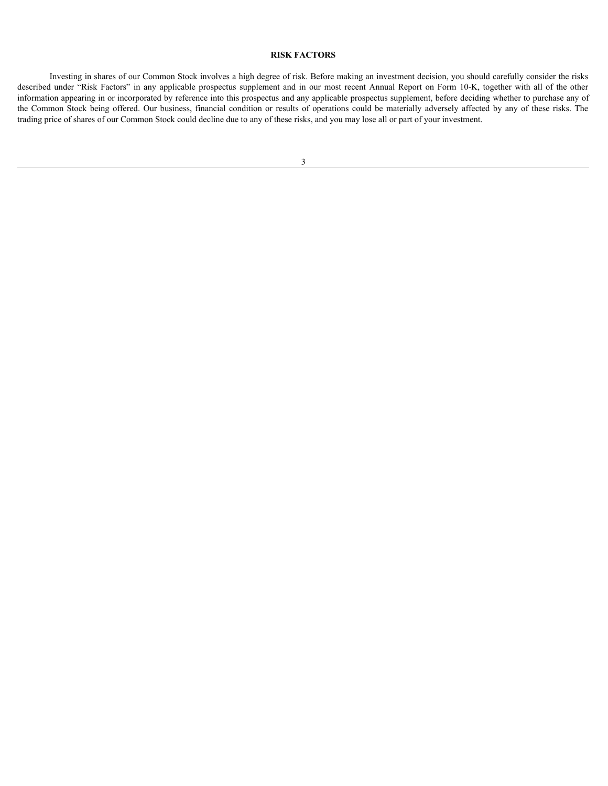#### **RISK FACTORS**

Investing in shares of our Common Stock involves a high degree of risk. Before making an investment decision, you should carefully consider the risks RISK FACTORS<br>
Investing in shares of our Common Stock involves a high degree of risk. Before making an investment decision, you should carefully consider the risks<br>
described under "Risk Factors" in any applicable prospect information appearing in or incorporated by reference into this prospectus and any applicable prospectus supplement, before deciding whether to purchase any of **EXELUATE:** Investing in shares of our Common Stock involves a high degree of risk. Before making an investment decision, you should carefully consider the risks described under "Risk Factors" in any applicable prospectus trading price of shares of our Common Stock could decline due to any of these risks, and you may lose all or part of your investment.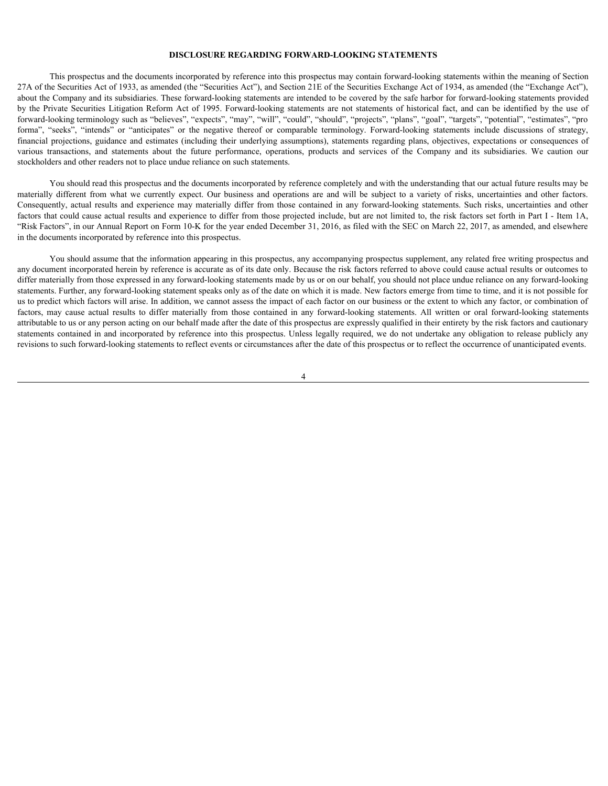#### **DISCLOSURE REGARDING FORwARD-LOOKING STATEMENTS**

This prospectus and the documents incorporated by reference into this prospectus may contain forward-looking statements within the meaning of Section 27A of the Securities Act of 1933, as amended (the "Securities Act"), and Section 21E of the Securities Exchange Act of 1934, as amended (the "Exchange Act"), about the Company and its subsidiaries. These forward-looking statements are intended to be covered by the safe harbor for forward-looking statements provided **DISCLOSURE REGARDING FORWARD-LOOKING STATEMENTS**<br>
This prospectus and the documents incorporated by reference into this prospectus may contain forward-looking statements within the meaning of Section<br>
27A of the Securitie forward-looking terminology such as "believes", "expects", "may", "will", "could", "should", "projects", "plans", "goal", "targets", "potential", "estimates", "pro **EXAMING FORWARD-LOOKING STATEMENTS**<br>
This prospectus and the documents incorporated by reference into this prospectus may contain forward-looking statements within the meaning of Section<br>
27A of the Securities Act 0 1993, financial projections, guidance and estimates (including their underlying assumptions), statements regarding plans, objectives, expectations or consequences of **EXELTS INTEREM CONTRIG FORWARD-LOOKING STATEMENTS**<br>
This prospectus and the documents incorporated by reference into this prospectus may contain forward-looking statements within the meaning of Section<br>
27A of the Securit stockholders and other readers not to place undue reliance on such statements. **EXELOSURE REGARDING FORWARD-LOOKING STATEMENTS**<br>
This prospectus and the documents incorporated by reference into this prospectus may contain forward-looking statements within the meaning of Section<br>
2/A of the Secretties **DISCLOSURE REGARDING FORWARD-LOOKING STATEMENTS**<br>
<sup>278</sup>A of the Sequenties Act of 1933, as anneaded (the "Sequenties Act"), and Section 21E of the Sequenties Technique and the comparist any material colonical from the ma **Factors** in the computer and the decembent incorporated by the<br>other states and the decembent incorporated by referrence into this properties may contain forward-looking statements within the measuring of Section<br>27A of

You should read this prospectus and the documents incorporated by reference completely and with the understanding that our actual future results may be factors that could cause actual results and experience to differ from those projected include, but are not limited to, the risk factors set forth in Part I - Item 1A, "Risk Factors", in our Annual Report on Form 10-K for the year ended December 31, 2016, as filed with the SEC on March 22, 2017, as amended, and elsewhere in the documents incorporated by reference into this prospectus.

You should assume that the information appearing in this prospectus, any accompanying prospectus supplement, any related free writing prospectus and any document incorporated herein by reference is accurate as of its date only. Because the risk factors referred to above could cause actual results or outcomes to differ materially from those expressed in any forward-looking statements made by us or on our behalf, you should not place undue reliance on any forward-looking statements. Further, any forward-looking statement speaks only as of the date on which it is made. New factors emerge from time to time, and it is not possible for us to predict which factors will arise. In addition, we cannot assess the impact of each factor on our business or the extent to which any factor, or combination of attributable to us or any person acting on our behalf made after the date of this prospectus are expressly qualified in their entirety by the risk factors and cautionary statements contained in and incorporated by reference into this prospectus. Unless legally required, we do not undertake any obligation to release publicly any revisions to such forward-looking statements to reflect events or circumstances after the date of this prospectus or to reflect the occurrence of unanticipated events.

#### 4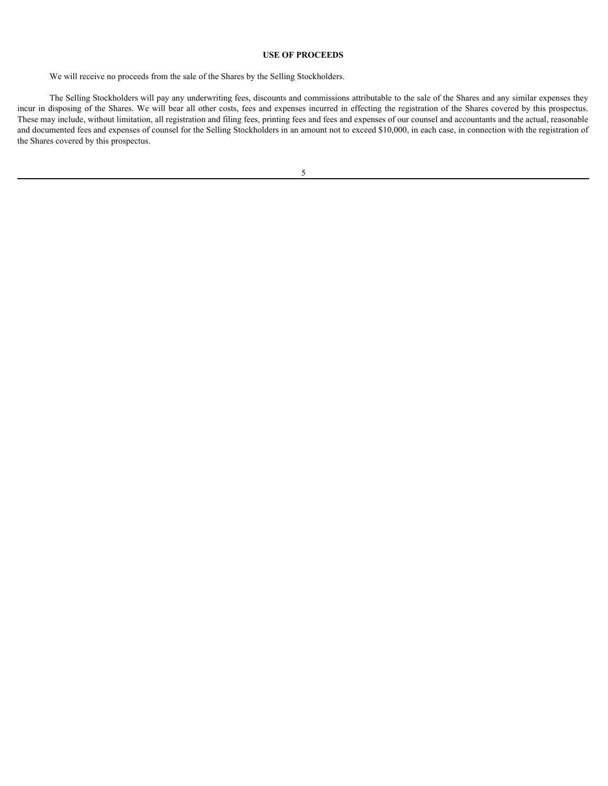#### **USE OF PROCEEDS**

We will receive no proceeds from the sale of the Shares by the Selling Stockholders.

<u> 1980 - Johann Barnett, fransk politik (</u>

The Selling Stockholders will pay any underwriting fees, discounts and commissions attributable to the sale of the Shares and any similar expenses they incur in disposing of the Shares. We will bear all other costs, fees and expenses incurred in effecting the registration of the Shares covered by this prospectus. These may include, without limitation, all registration and filing fees, printing fees and fees and expenses of our counsel and accountants and the actual, reasonable and documented fees and expenses of counsel for the Selling Stockholders in an amount not to exceed \$10,000, in each case, in connection with the registration of the Shares covered by this prospectus.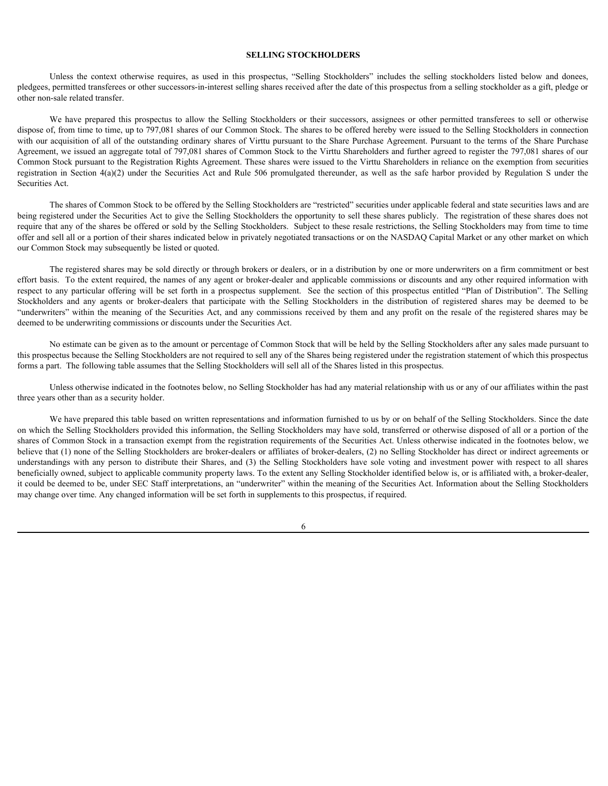#### **SELLING STOCKHOLDERS**

pledgees, permitted transferees or other successors-in-interest selling shares received after the date of this prospectus from a selling stockholder as a gift, pledge or other non-sale related transfer.

SELLING STOCKHOLDERS<br>Unless the context otherwise requires, as used in this prospectus, "Selling Stockholders" includes the selling stockholders listed below and donees,<br>permitted transferees or other successors-in-interes **SELLING STOCKHOLDERS**<br>Unless the context otherwise requires, as used in this prospectus, "Selling Stockholders" includes the selling stockholders listed below and donees,<br>permitted transferes or other successors-in-intere dispose of, from time to time, up to 797,081 shares of our Common Stock. The shares to be offered hereby were issued to the Selling Stockholders in connection with our acquisition of all of the outstanding ordinary shares of Virttu pursuant to the Share Purchase Agreement. Pursuant to the terms of the Share Purchase Agreement, we issued an aggregate total of 797,081 shares of Common Stock to the Virttu Shareholders and further agreed to register the 797,081 shares of our Common Stock pursuant to the Registration Rights Agreement. These shares were issued to the Virttu Shareholders in reliance on the exemption from securities **SELLING STOCKHOLDERS**<br> **SELLING STOCKHOLDERS**<br>
pledgees, permitted transferees or other successors-in-interest selling shockholders or their successors, assigness or other permitted transferees to sell or otherwise<br>
We ha Securities Act. **SELLING STOCKHOLDERS**<br>**SELLING STOCKHOLDERS**<br>
Unleapse, partified inactions or other sections the interest institute in properties, "setting Sockholders" redates the setting sixtendenties form selling sockholders is a gi SELLING STOCKHOLDERS<br>
SELLING STOCKHOLDERS<br>
Delogas, permitted transferences or a direction in the memberic realing shares received more the secondary include the selling stockholders in a stockholders or a gift, pledge o SHELLING STOCKHOLDEES<br>
WELLING STOCKHOLDEES of means and the systems of the meaning of the Securities of the Securities of the Securities of the Securities of the Securities of the Securities of the Securities of the Secu

The shares of Common Stock to be offered by the Selling Stockholders are "restricted" securities under applicable federal and state securities laws and are being registered under the Securities Act to give the Selling Stockholders the opportunity to sell these shares publicly. The registration of these shares does not require that any of the shares be offered or sold by the Selling Stockholders. Subject to these resale restrictions, the Selling Stockholders may from time to time offer and sell all or a portion of their shares indicated below in privately negotiated transactions or on the NASDAQ Capital Market or any other market on which our Common Stock may subsequently be listed or quoted.

The registered shares may be sold directly or through brokers or dealers, or in a distribution by one or more underwriters on a firm commitment or best effort basis. To the extent required, the names of any agent or broker-dealer and applicable commissions or discounts and any other required information with deemed to be underwriting commissions or discounts under the Securities Act.

No estimate can be given as to the amount or percentage of Common Stock that will be held by the Selling Stockholders after any sales made pursuant to this prospectus because the Selling Stockholders are not required to sell any of the Shares being registered under the registration statement of which this prospectus forms a part. The following table assumes that the Selling Stockholders will sell all of the Shares listed in this prospectus.

Unless otherwise indicated in the footnotes below, no Selling Stockholder has had any material relationship with us or any of our affiliates within the past three years other than as a security holder.

We have prepared this table based on written representations and information furnished to us by or on behalf of the Selling Stockholders. Since the date on which the Selling Stockholders provided this information, the Selling Stockholders may have sold, transferred or otherwise disposed of all or a portion of the shares of Common Stock in a transaction exempt from the registration requirements of the Securities Act. Unless otherwise indicated in the footnotes below, we believe that (1) none of the Selling Stockholders are broker-dealers or affiliates of broker-dealers, (2) no Selling Stockholder has direct or indirect agreements or with the control of all shares of the standard and the controlling collor and the standard and any person to the Shares have of Nina person then the Shares have the Shares have the standard and the Shares control of the S beneficially owned, subject to applicable community property laws. To the extent any Selling Stockholder identified below is, or is affiliated with, a broker-dealer, it could be deemed to be, under SEC Staff interpretations, an "underwriter" within the meaning of the Securities Act. Information about the Selling Stockholders may change over time. Any changed information will be set forth in supplements to this prospectus, if required.

6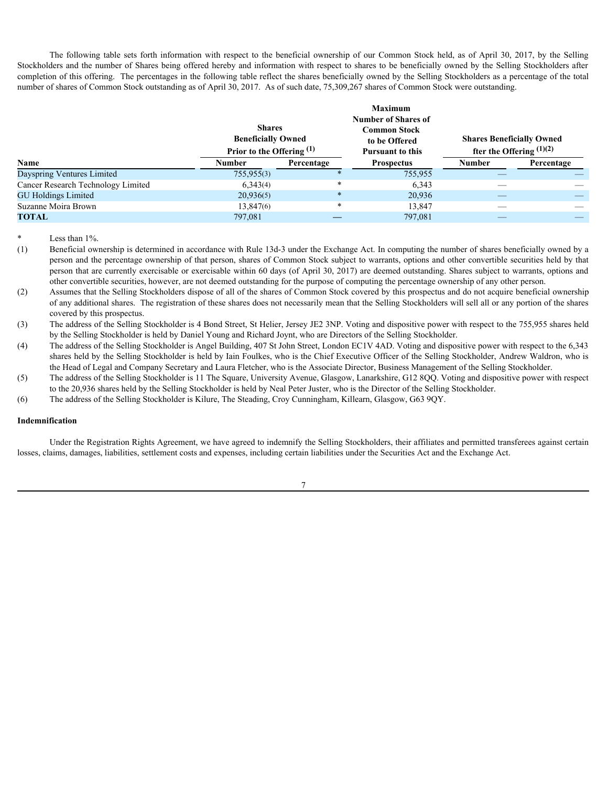The following table sets forth information with respect to the beneficial ownership of our Common Stock held, as of April 30, 2017, by the Selling<br>ders and the number of Shares beneficial parameters of the sole of the sole Stockholders and the number of Shares being offered hereby and information with respect to shares to be beneficially owned by the Selling Stockholders after completion of this offering. The percentages in the following table reflect the shares beneficially owned by the Selling Stockholders as a percentage of the total number of shares of Common Stock outstanding as of April 30, 2017. As of such date, 75,309,267 shares of Common Stock were outstanding.

|                                    |                             |            | <b>Maximum</b>             |                                  |                                |
|------------------------------------|-----------------------------|------------|----------------------------|----------------------------------|--------------------------------|
|                                    |                             |            | <b>Number of Shares of</b> |                                  |                                |
|                                    | <b>Shares</b>               |            | <b>Common Stock</b>        |                                  |                                |
|                                    | <b>Beneficially Owned</b>   |            | to be Offered              | <b>Shares Beneficially Owned</b> |                                |
|                                    | Prior to the Offering $(1)$ |            | <b>Pursuant to this</b>    | fter the Offering $(1)(2)$       |                                |
| Name                               | Number                      | Percentage | <b>Prospectus</b>          | Number                           | Percentage                     |
| Dayspring Ventures Limited         | 755,955(3)                  |            | 755,955                    |                                  |                                |
| Cancer Research Technology Limited | 6,343(4)                    |            | 6,343                      |                                  | $\overbrace{\hspace{25mm}}^{}$ |
| <b>GU Holdings Limited</b>         | 20,936(5)                   |            | 20,936                     | $\overline{\phantom{a}}$         |                                |
| Suzanne Moira Brown                | 13,847(6)                   |            | 13,847                     | $\hspace{0.1mm}-\hspace{0.1mm}$  |                                |
| <b>TOTAL</b>                       | 797,081                     |            | 797,081                    | $\overbrace{\hspace{25mm}}$      | __                             |

#### Less than  $1\%$ .

(1) Beneficial ownership is determined in accordance with Rule 13d-3 under the Exchange Act. In computing the number of shares beneficially owned by a person and the percentage ownership of that person, shares of Common Stock subject to warrants, options and other convertible securities held by that person that are currently exercisable or exercisable within 60 days (of April 30, 2017) are deemed outstanding. Shares subject to warrants, options and other convertible securities, however, are not deemed outstanding for the purpose of computing the percentage ownership of any other person.

(2) Assumes that the Selling Stockholders dispose of all of the shares of Common Stock covered by this prospectus and do not acquire beneficial ownership of any additional shares. The registration of these shares does not necessarily mean that the Selling Stockholders will sell all or any portion of the shares covered by this prospectus.

(3) The address of the Selling Stockholder is 4 Bond Street, St Helier, Jersey JE2 3NP. Voting and dispositive power with respect to the 755,955 shares held by the Selling Stockholder is held by Daniel Young and Richard Joynt, who are Directors of the Selling Stockholder.

(4) The address of the Selling Stockholder is Angel Building, 407 St John Street, London EC1V 4AD. Voting and dispositive power with respect to the 6,343 shares held by the Selling Stockholder is held by Iain Foulkes, who is the Chief Executive Officer of the Selling Stockholder, Andrew Waldron, who is the Head of Legal and Company Secretary and Laura Fletcher, who is the Associate Director, Business Management of the Selling Stockholder.

(5) The address of the Selling Stockholder is 11 The Square, University Avenue, Glasgow, Lanarkshire, G12 8QQ. Voting and dispositive power with respect to the 20,936 shares held by the Selling Stockholder is held by Neal Peter Juster, who is the Director of the Selling Stockholder.

(6) The address of the Selling Stockholder is Kilure, The Steading, Croy Cunningham, Killearn, Glasgow, G63 9QY.

#### **Indemnification**

Under the Registration Rights Agreement, we have agreed to indemnify the Selling Stockholders, their affiliates and permitted transferees against certain losses, claims, damages, liabilities, settlement costs and expenses, including certain liabilities under the Securities Act and the Exchange Act.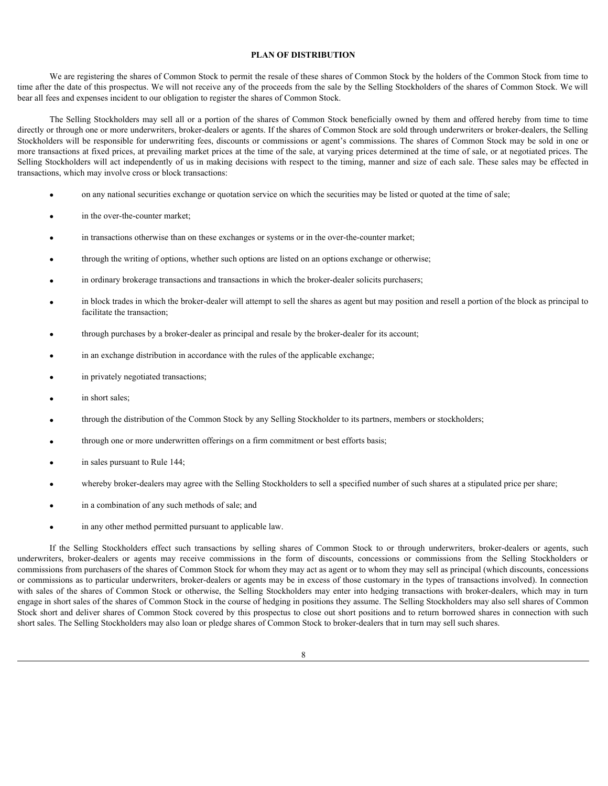#### **PLAN OF DISTRIBUTION**

We are registering the shares of Common Stock to permit the resale of these shares of Common Stock by the holders of the Common Stock from time to time after the date of this prospectus. We will not receive any of the proceeds from the sale by the Selling Stockholders of the shares of Common Stock. We will bear all fees and expenses incident to our obligation to register the shares of Common Stock.

The Selling Stockholders may sell all or a portion of the shares of Common Stock beneficially owned by them and offered hereby from time to time directly or through one or more underwriters, broker-dealers or agents. If the shares of Common Stock are sold through underwriters or broker-dealers, the Selling Stockholders will be responsible for underwriting fees, discounts or commissions or agent's commissions. The shares of Common Stock may be sold in one or more transactions at fixed prices, at prevailing market prices at the time of the sale, at varying prices determined at the time of sale, or at negotiated prices. The Selling Stockholders will act independently of us in making decisions with respect to the timing, manner and size of each sale. These sales may be effected in transactions, which may involve cross or block transactions:

- · on any national securities exchange or quotation service on which the securities may be listed or quoted at the time of sale;
- in the over-the-counter market;
- in transactions otherwise than on these exchanges or systems or in the over-the-counter market;
- · through the writing of options, whether such options are listed on an options exchange or otherwise;
- in ordinary brokerage transactions and transactions in which the broker-dealer solicits purchasers;
- in block trades in which the broker-dealer will attempt to sell the shares as agent but may position and resell a portion of the block as principal to facilitate the transaction;
- through purchases by a broker-dealer as principal and resale by the broker-dealer for its account;
- in an exchange distribution in accordance with the rules of the applicable exchange;
- in privately negotiated transactions;
- in short sales;
- · through the distribution of the Common Stock by any Selling Stockholder to its partners, members or stockholders;
- · through one or more underwritten offerings on a firm commitment or best efforts basis;
- in sales pursuant to Rule 144;
- whereby broker-dealers may agree with the Selling Stockholders to sell a specified number of such shares at a stipulated price per share;
- in a combination of any such methods of sale; and
- in any other method permitted pursuant to applicable law.

**If the selling of the selling stockholders and the selling stockholders are interesting and the selling stockholders of the stockholders and transactions in the broker-dealer shares and provide such agent but an average** is permation of environmental or the exchange or systems to interdeduced as the system.<br>
In the state of the state of the state of the state of the state of the state of the state of the state of the state of the state of commissions from purchasers of the shares of Common Stock for whom they may act as agent or to whom they may sell as principal (which discounts, concessions or commissions as to particular underwriters, broker-dealers or agents may be in excess of those customary in the types of transactions involved). In connection with sales of the shares of Common Stock or otherwise, the Selling Stockholders may enter into hedging transactions with broker-dealers, which may in turn engage in short sales of the shares of Common Stock in the course of hedging in positions they assume. The Selling Stockholders may also sell shares of Common Stock short and deliver shares of Common Stock covered by this prospectus to close out short positions and to return borrowed shares in connection with such short sales. The Selling Stockholders may also loan or pledge shares of Common Stock to broker-dealers that in turn may sell such shares.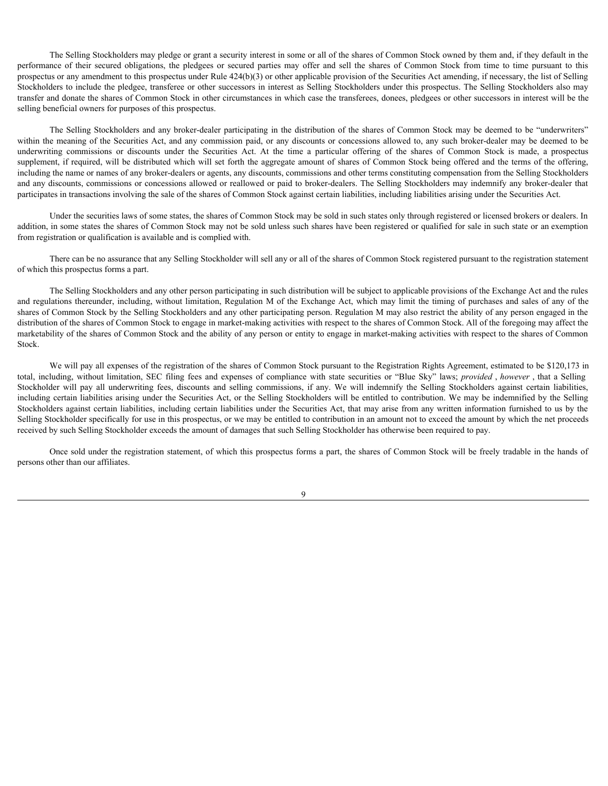The Selling Stockholders may pledge or grant a security interest in some or all of the shares of Common Stock owned by them and, if they default in the The Selling Stockholders may pledge or grant a security interest in some or all of the shares of Common Stock owned by them and, if they default in the performance of their secured obligations, the pledgees or secured part prospectus or any amendment to this prospectus under Rule 424(b)(3) or other applicable provision of the Securities Act amending, if necessary, the list of Selling Stockholders to include the pledgee, transferee or other successors in interest as Selling Stockholders under this prospectus. The Selling Stockholders also may transfer and donate the shares of Common Stock in other circumstances in which case the transferees, donees, pledgees or other successors in interest will be the selling beneficial owners for purposes of this prospectus.

The Selling Stockholders and any broker-dealer participating in the distribution of the shares of Common Stock may be deemed to be "underwriters" within the meaning of the Securities Act, and any commission paid, or any discounts or concessions allowed to, any such broker-dealer may be deemed to be The Selling Stockholders may pledge or grant a security interest in some or all of the shares of Common Stock owned by them and, if they default in the propresents or current commissions, the pledges or securities may offe supplement, if required, will be distributed which will set forth the aggregate amount of shares of Common Stock being offered and the terms of the offering, including the name or names of any broker-dealers or agents, any discounts, commissions and other terms constituting compensation from the Selling Stockholders and any discounts, commissions or concessions allowed or reallowed or paid to broker-dealers. The Selling Stockholders may indemnify any broker-dealer that participates in transactions involving the sale of the shares of Common Stock against certain liabilities, including liabilities arising under the Securities Act. The soling to choose or more of the soling to proper a security there in some paid the shares of Common Sieck own in paid the shares in the state of the state of the state of the state of the state of distinguistic and the retinance of their exceed evily all only players or exceed period on the rad of the shore of Common is each commute that the commute the selling the selling the selling of the selling the selling stockholders and independ

Under the securities laws of some states, the shares of Common Stock may be sold in such states only through registered or licensed brokers or dealers. In addition, in some states the shares of Common Stock may not be sold unless such shares have been registered or qualified for sale in such state or an exemption from registration or qualification is available and is complied with.

There can be no assurance that any Selling Stockholder will sell any or all of the shares of Common Stock registered pursuant to the registration statement of which this prospectus forms a part.

The Selling Stockholders and any other person participating in such distribution will be subject to applicable provisions of the Exchange Act and the rules and regulations thereunder, including, without limitation, Regulation M of the Exchange Act, which may limit the timing of purchases and sales of any of the shares of Common Stock by the Selling Stockholders and any other participating person. Regulation M may also restrict the ability of any person engaged in the distribution of the shares of Common Stock to engage in market-making activities with respect to the shares of Common Stock. All of the foregoing may affect the marketability of the shares of Common Stock and the ability of any person or entity to engage in market-making activities with respect to the shares of Common Stock.

We will pay all expenses of the registration of the shares of Common Stock pursuant to the Registration Rights Agreement, estimated to be \$120,173 in , *however* , that a Selling including certain liabilities arising under the Securities Act, or the Selling Stockholders will be entitled to contribution. We may be indemnified by the Selling Stockholders against certain liabilities, including certain liabilities under the Securities Act, that may arise from any written information furnished to us by the Selling Stockholder specifically for use in this prospectus, or we may be entitled to contribution in an amount not to exceed the amount by which the net proceeds received by such Selling Stockholder exceeds the amount of damages that such Selling Stockholder has otherwise been required to pay.

Once sold under the registration statement, of which this prospectus forms a part, the shares of Common Stock will be freely tradable in the hands of persons other than our affiliates.

9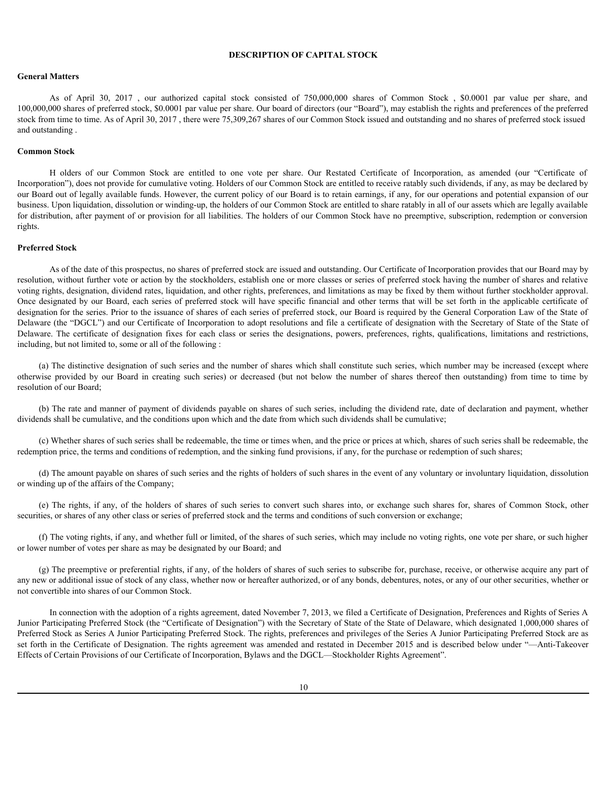#### **DESCRIPTION OF CAPITAL STOCK**

#### **General Matters**

**Matters**<br>As of April 30, 2017 , our authorized capital stock consisted of 750,000,000 shares of Common Stock , \$0.0001 par value per share, and<br>000 shares of preferred stock, \$0.0001 par value per share. Our board of dire 100,000,000 shares of preferred stock, \$0.0001 par value per share. Our board of directors (our "Board"), may establish the rights and preferences of the preferred stock from time to time. As of April 30, 2017 , there were 75,309,267 shares of our Common Stock issued and outstanding and no shares of preferred stock issued and outstanding .

#### **Common Stock**

**Matters**<br>As of April 30, 2017, our authorized capital stock consisted of 750,000,000 shares of Common Stock , \$0.0001 par value per share, and<br>000 shares of preferred stock, \$0.0001 par value per share. Our board of direc Incorporation"), does not provide for cumulative voting. Holders of our Common Stock are entitled to receive ratably such dividends, if any, as may be declared by our Board out of legally available funds. However, the current policy of our Board is to retain earnings, if any, for our operations and potential expansion of our business. Upon liquidation, dissolution or winding-up, the holders of our Common Stock are entitled to share ratably in all of our assets which are legally available for distribution, after payment of or provision for all liabilities. The holders of our Common Stock have no preemptive, subscription, redemption or conversion rights.

#### **Preferred Stock**

As of the date of this prospectus, no shares of preferred stock are issued and outstanding. Our Certificate of Incorporation provides that our Board may by resolution, without further vote or action by the stockholders, establish one or more classes or series of preferred stock having the number of shares and relative voting rights, designation, dividend rates, liquidation, and other rights, preferences, and limitations as may be fixed by them without further stockholder approval. **DESCRIPTION OF CAPITAL STOCK**<br>
(0.00,000) alones of preferred stock, 50,000 part will be a concept of 1780,000,000 shures of Common Stock , 50,0001 par value per shure, and<br>
(0.00,000 shures of preferred stock, 50,000 par designation for the series. Prior to the issuance of shares of each series of preferred stock, our Board is required by the General Corporation Law of the State of Delaware (the "DGCL") and our Certificate of Incorporation to adopt resolutions and file a certificate of designation with the Secretary of State of the State of **Coneral Matters**<br>
DESCRIPTION OF CAPITAL STOCK<br>
THEOROGY (2000) the series of April 30, 2017, our authorized orgital ancie, constant of 750,000,000 aboves of Common Stock , 90,0001 par values per share, and<br>
THEOROGY, th including, but not limited to, some or all of the following : **Creteri Meters**<br> **Creativity and the state of procedure for the state of the creative control of the state of the state of the state of the state of the state of the state of provide the state of provide the state of prov** control", does not providely consider the criminality words, if bloods of or Common Stock are entirely the receive mathey series of society and with exchange into any series to the series to the holders of shares in the se

(a) The distinctive designation of such series and the number of shares which shall constitute such series, which number may be increased (except where resolution of our Board;

(b) The rate and manner of payment of dividends payable on shares of such series, including the dividend rate, date of declaration and payment, whether dividends shall be cumulative, and the conditions upon which and the date from which such dividends shall be cumulative;

(c) Whether shares of such series shall be redeemable, the time or times when, and the price or prices at which, shares of such series shall be redeemable, the redemption price, the terms and conditions of redemption, and the sinking fund provisions, if any, for the purchase or redemption of such shares;

(d) The amount payable on shares of such series and the rights of holders of such shares in the event of any voluntary or involuntary liquidation, dissolution or winding up of the affairs of the Company;

securities, or shares of any other class or series of preferred stock and the terms and conditions of such conversion or exchange;

(f) The voting rights, if any, and whether full or limited, of the shares of such series, which may include no voting rights, one vote per share, or such higher or lower number of votes per share as may be designated by our Board; and

(g) The preemptive or preferential rights, if any, of the holders of shares of such series to subscribe for, purchase, receive, or otherwise acquire any part of any new or additional issue of stock of any class, whether now or hereafter authorized, or of any bonds, debentures, notes, or any of our other securities, whether or not convertible into shares of our Common Stock.

In connection with the adoption of a rights agreement, dated November 7, 2013, we filed a Certificate of Designation, Preferences and Rights of Series A Junior Participating Preferred Stock (the "Certificate of Designation") with the Secretary of State of the State of Delaware, which designated 1,000,000 shares of Preferred Stock as Series A Junior Participating Preferred Stock. The rights, preferences and privileges of the Series A Junior Participating Preferred Stock are as set forth in the Certificate of Designation. The rights agreement was amended and restated in December 2015 and is described below under "—Anti-Takeover Effects of Certain Provisions of our Certificate of Incorporation, Bylaws and the DGCL—Stockholder Rights Agreement".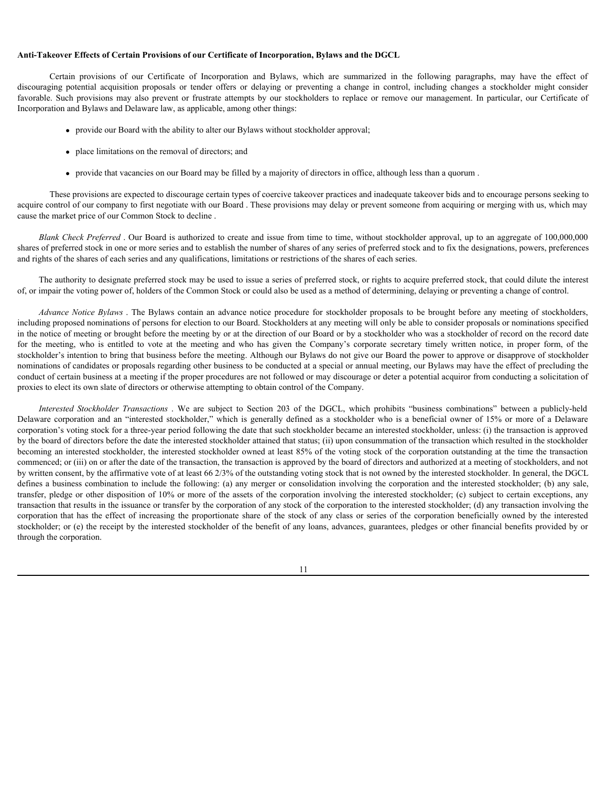#### **Anti-Takeover Effects of Certain Provisions of our Certificate of Incorporation, Bylaws and the DGCL**

**Certain provisions of our Certificate of Incorporation, Bylaws and the DGCL**<br>Certain provisions of our Certificate of Incorporation and Bylaws, which are summarized in the following paragraphs, may have the effect of<br>ting Anti-Takeover Effects of Certain Provisions of our Certificate of Incorporation, Bylaws and the DGCL<br>
Certain provisions of our Certificate of Incorporation and Bylaws, which are summarized in the following paragraphs, may Anti-Takeover Effects of Certain Provisions of our Certificate of Incorporation, Bylaws and the DGCL<br>
Certain provisions of our Certificate of Incorporation and Bylaws, which are summarized in the following paragraphs, may Incorporation and Bylaws and Delaware law, as applicable, among other things:

- · provide our Board with the ability to alter our Bylaws without stockholder approval;
- place limitations on the removal of directors; and
- · provide that vacancies on our Board may be filled by a majority of directors in office, although less than a quorum .

These provisions are expected to discourage certain types of coercive takeover practices and inadequate takeover bids and to encourage persons seeking to acquire control of our company to first negotiate with our Board . These provisions may delay or prevent someone from acquiring or merging with us, which may cause the market price of our Common Stock to decline .

*Blank Check Preferred* . Our Board is authorized to create and issue from time to time, without stockholder approval, up to an aggregate of 100,000,000 shares of preferred stock in one or more series and to establish the number of shares of any series of preferred stock and to fix the designations, powers, preferences and rights of the shares of each series and any qualifications, limitations or restrictions of the shares of each series.

The authority to designate preferred stock may be used to issue a series of preferred stock, or rights to acquire preferred stock, that could dilute the interest of, or impair the voting power of, holders of the Common Stock or could also be used as a method of determining, delaying or preventing a change of control.

**Takeover Effects of Certain Provisions of our Certificate of Incorporation, Bylaws and the DGCL<br>
Certain provisions of our Certificate of Incorporation and Bylaws, which are summarized in the following pargent<br>** *Also geom Notice Bylaws* this Provisions of our Certificate of Incorporation, Bylaws and the DGCL<br>
for contained an advance of comparison and Bylaws, which are summarized in the following paragraphs, may have the effect of<br>
tion proposals or tende including proposed nominations of persons for election to our Board. Stockholders at any meeting will only be able to consider proposals or nominations specified in the notice of meeting or brought before the meeting by or at the direction of our Board or by a stockholder who was a stockholder of record on the record date Anti-Takeover Effects of Certain Provisions of our Certificate of Incorporation, Bylaws and the DGCI.<br>
Contain good of our Certificates of Incorporation and Bylaws, which are summatical in the following tensing and the<br>cho stockholder's intention to bring that business before the meeting. Although our Bylaws do not give our Board the power to approve or disapprove of stockholder nominations of candidates or proposals regarding other business to be conducted at a special or annual meeting, our Bylaws may have the effect of precluding the conduct of certain business at a meeting if the proper procedures are not followed or may discourage or deter a potential acquiror from conducting a solicitation of proxies to elect its own slate of directors or otherwise attempting to obtain control of the Company.

Interested Stockholder Transactions ental acquisition proposals or tender offers or delaying or prevention a change in courrol, including changes a smcchloder process or tender of the comparison of the comparison of the comparison or provide controllation in is or iender offers or delaying or preventing a change in control, including changes a sockholder might consider<br>or or fusistee attenpils by our stockholders to replace or remove our management. In particular, our Certific Decomption and solid to preceding the corporation and an experimentally show that is a proportion and the interest of the proportion and the interest of the interest of the interest of the interest of the interest of the corporation's voting stock for a three-year period following the date that such stockholder became an interested stockholder, unless: (i) the transaction is approved by the board of directors before the date the interested stockholder attained that status; (ii) upon consummation of the transaction which resulted in the stockholder becoming an interested stockholder, the interested stockholder owned at least 85% of the voting stock of the corporation outstanding at the time the transaction commenced; or (iii) on or after the date of the transaction, the transaction is approved by the board of directors and authorized at a meeting of stockholders, and not by written consent, by the affirmative vote of at least 66 2/3% of the outstanding voting stock that is not owned by the interested stockholder. In general, the DGCL defines a business combination to include the following: (a) any merger or consolidation involving the corporation and the interested stockholder; (b) any sale, transfer, pledge or other disposition of 10% or more of the assets of the corporation involving the interested stockholder; (c) subject to certain exceptions, any transaction that results in the issuance or transfer by the corporation of any stock of the corporation to the interested stockholder; (d) any transaction involving the These positions are expected to increase extent of the corporation to correspond the interest of increasing the effect of increasing the effect of increasing the core of the stock or series of the effect of increasing the stockholder; or (e) the receipt by the interested stockholder of the benefit of any loans, advances, guarantees, pledges or other financial benefits provided by or through the corporation.

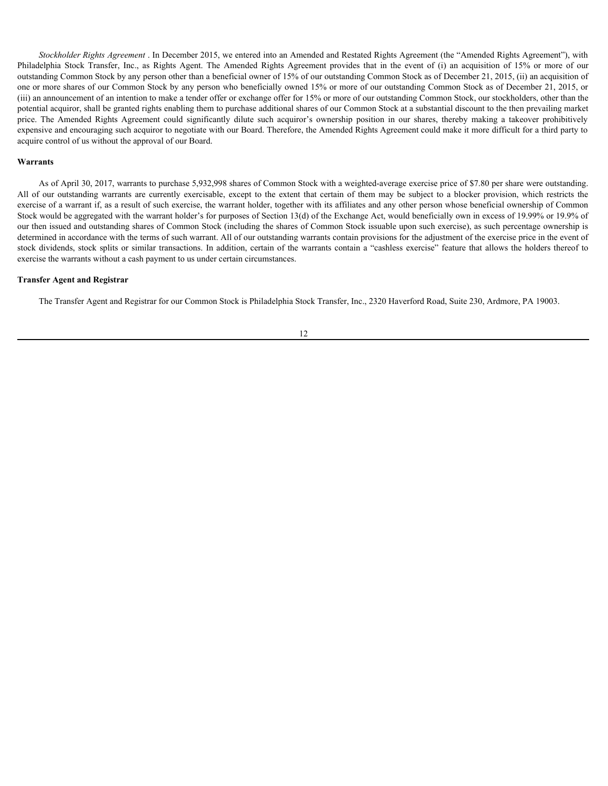*Stockholder Rights Agreement* . In December 2015, we entered into an Amended and Restated Rights Agreement (the "Amended Rights Agreement"), with Stockholder Rights Agreement . In December 2015, we entered into an Amended and Restated Rights Agreement (the "Amended Rights Agreement"), with Philadelphia Stock Transfer, Inc., as Rights Agent. The Amended Rights Agreem outstanding Common Stock by any person other than a beneficial owner of 15% of our outstanding Common Stock as of December 21, 2015, (ii) an acquisition of one or more shares of our Common Stock by any person who beneficially owned 15% or more of our outstanding Common Stock as of December 21, 2015, or (iii) an announcement of an intention to make a tender offer or exchange offer for 15% or more of our outstanding Common Stock, our stockholders, other than the potential acquiror, shall be granted rights enabling them to purchase additional shares of our Common Stock at a substantial discount to the then prevailing market Stockholder Rights Agreement . In December 2015, we entered into an Amended and Restated Rights Agreement (the "Amended Rights Agreement"), with<br>Philadelphia Stock Transfer, Inc., as Rights Agent. The Amended Rights Agreem expensive and encouraging such acquiror to negotiate with our Board. Therefore, the Amended Rights Agreement could make it more difficult for a third party to acquire control of us without the approval of our Board. Sockholder Rights Agreement . In December 2015, we entered into an Amended and Restated Rights Agreement (the "Amended Rights Agreement"), with<br>Pluidelphia Stock Trants F. Inc., as Rights Agreement Rowholde Rights Agreemen

#### **warrants**

As of April 30, 2017, warrants to purchase 5,932,998 shares of Common Stock with a weighted-average exercise price of \$7.80 per share were outstanding. exercise of a warrant if, as a result of such exercise, the warrant holder, together with its affiliates and any other person whose beneficial ownership of Common Stock would be aggregated with the warrant holder's for purposes of Section 13(d) of the Exchange Act, would beneficially own in excess of 19.99% or 19.9% of our then issued and outstanding shares of Common Stock (including the shares of Common Stock issuable upon such exercise), as such percentage ownership is determined in accordance with the terms of such warrant. All of our outstanding warrants contain provisions for the adjustment of the exercise price in the event of stock dividends, stock splits or similar transactions. In addition, certain of the warrants contain a "cashless exercise" feature that allows the holders thereof to exercise the warrants without a cash payment to us under certain circumstances.

#### **Transfer Agent and Registrar**

The Transfer Agent and Registrar for our Common Stock is Philadelphia Stock Transfer, Inc., 2320 Haverford Road, Suite 230, Ardmore, PA 19003.

12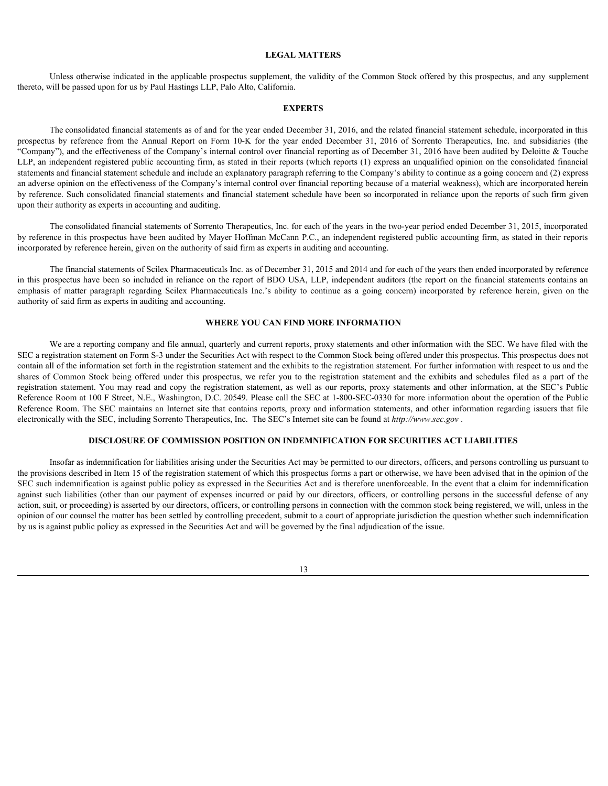#### **LEGAL MATTERS**

Unless otherwise indicated in the applicable prospectus supplement, the validity of the Common Stock offered by this prospectus, and any supplement thereto, will be passed upon for us by Paul Hastings LLP, Palo Alto, California.

#### **EXPERTS**

The consolidated financial statements as of and for the year ended December 31, 2016, and the related financial statement schedule, incorporated in this **LEGAL MATTERS**<br>
Unless otherwise indicated in the applicable prospectus supplement, the validity of the Common Stock offered by this prospectus, and any supplement<br>
thereto, will be passed upon for us by Paul Hastings LLP "Company"), and the effectiveness of the Company's internal control over financial reporting as of December 31, 2016 have been audited by Deloitte & Touche LLP, an independent registered public accounting firm, as stated in their reports (which reports (1) express an unqualified opinion on the consolidated financial statements and financial statement schedule and include an explanatory paragraph referring to the Company's ability to continue as a going concern and (2) express an adverse opinion on the effectiveness of the Company's internal control over financial reporting because of a material weakness), which are incorporated herein by reference. Such consolidated financial statements and financial statement schedule have been so incorporated in reliance upon the reports of such firm given upon their authority as experts in accounting and auditing. **EGAL SAATTERS**<br>
LEGAL SAATTERS<br>
Unless otherwise indicated in the applicable prospective supplement, the scilection's the Comments Stack offered by this prospective, such as a<br>
factorial content ability that the parameter

The consolidated financial statements of Sorrento Therapeutics, Inc. for each of the years in the two-year period ended December 31, 2015, incorporated by reference in this prospectus have been audited by Mayer Hoffman McCann P.C., an independent registered public accounting firm, as stated in their reports incorporated by reference herein, given on the authority of said firm as experts in auditing and accounting.

The financial statements of Scilex Pharmaceuticals Inc. as of December 31, 2015 and 2014 and for each of the years then ended incorporated by reference in this prospectus have been so included in reliance on the report of BDO USA, LLP, independent auditors (the report on the financial statements contains an authority of said firm as experts in auditing and accounting.

#### **wHERE yOU CAN FIND MORE INFORMATION**

We are a reporting company and file annual, quarterly and current reports, proxy statements and other information with the SEC. We have filed with the SEC a registration statement on Form S-3 under the Securities Act with respect to the Common Stock being offered under this prospectus. This prospectus does not contain all of the information set forth in the registration statement and the exhibits to the registration statement. For further information with respect to us and the Unions otherwise indicated in the applicable prospectus applicable. IF. Pais Altis. California.<br>
Energy of the passed upon for us by Pais Handage LLP, Pais Altis. California.<br>
ENERTS<br>
The correstion of the passed interest Crises oberwise indicated in the applicable prospectes applement, the validity of the Common Stock offered by this prospectes, and any registration statement. The considered upon the ultimate statements in the the registra Reference Room at 100 F Street, N.E., Washington, D.C. 20549. Please call the SEC at 1-800-SEC-0330 for more information about the operation of the Public Reference Room. The SEC maintains an Internet site that contains reports, proxy and information statements, and other information regarding issuers that file electronically with the SEC, including Sorrento Therapeutics, Inc. The SEC's Internet site can be found at *http://www.sec.gov* .

#### **DISCLOSURE OF COMMISSION POSITION ON INDEMNIFICATION FOR SECURITIES ACT LIABILITIES**

Insofar as indemnification for liabilities arising under the Securities Act may be permitted to our directors, officers, and persons controlling us pursuant to the provisions described in Item 15 of the registration statement of which this prospectus forms a part or otherwise, we have been advised that in the opinion of the SEC such indemnification is against public policy as expressed in the Securities Act and is therefore unenforceable. In the event that a claim for indemnification against such liabilities (other than our payment of expenses incurred or paid by our directors, officers, or controlling persons in the successful defense of any action, suit, or proceeding) is asserted by our directors, officers, or controlling persons in connection with the common stock being registered, we will, unless in the opinion of our counsel the matter has been settled by controlling precedent, submit to a court of appropriate jurisdiction the question whether such indemnification by us is against public policy as expressed in the Securities Act and will be governed by the final adjudication of the issue.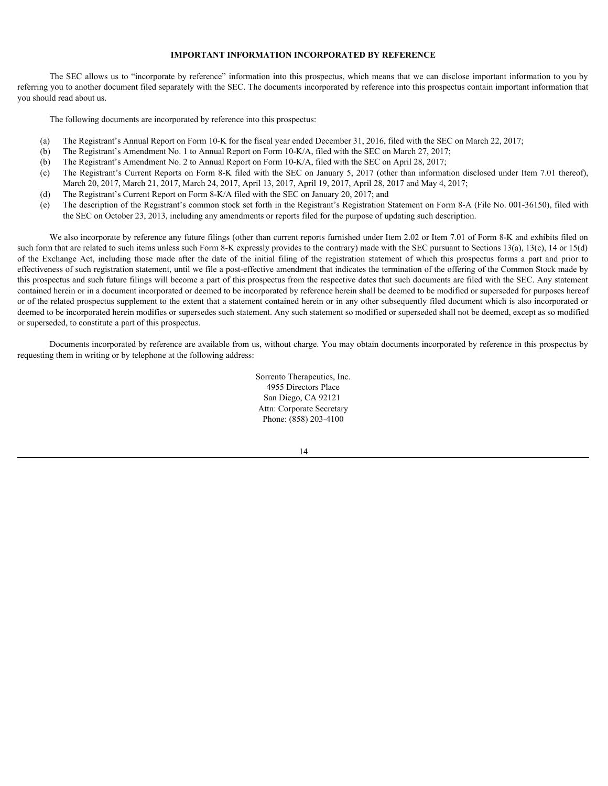#### **IMPORTANT INFORMATION INCORPORATED By REFERENCE**

The SEC allows us to "incorporate by reference" information into this prospectus, which means that we can disclose important information to you by referring you to another document filed separately with the SEC. The documents incorporated by reference into this prospectus contain important information that you should read about us.

The following documents are incorporated by reference into this prospectus:

- (a) The Registrant's Annual Report on Form 10-K for the fiscal year ended December 31, 2016, filed with the SEC on March 22, 2017;
- (b) The Registrant's Amendment No. 1 to Annual Report on Form 10-K/A, filed with the SEC on March 27, 2017;
- (b) The Registrant's Amendment No. 2 to Annual Report on Form 10-K/A, filed with the SEC on April 28, 2017;
- (c) The Registrant's Current Reports on Form 8-K filed with the SEC on January 5, 2017 (other than information disclosed under Item 7.01 thereof), March 20, 2017, March 21, 2017, March 24, 2017, April 13, 2017, April 19, 2017, April 28, 2017 and May 4, 2017;
- (d) The Registrant's Current Report on Form 8-K/A filed with the SEC on January 20, 2017; and
- (e) The description of the Registrant's common stock set forth in the Registrant's Registration Statement on Form 8-A (File No. 001-36150), filed with the SEC on October 23, 2013, including any amendments or reports filed for the purpose of updating such description.

We also incorporate by reference any future filings (other than current reports furnished under Item 2.02 or Item 7.01 of Form 8-K and exhibits filed on such form that are related to such items unless such Form 8-K expressly provides to the contrary) made with the SEC pursuant to Sections 13(a), 13(c), 14 or 15(d) **IMPORTANT ENFORMATION INCORPORATED BY REFERENCE**<br>
The SFC allows us to "incomposar by reference" information into this prospectus, which means that we can disclose important information to you by<br>
referring sources actio effectiveness of such registration statement, until we file a post-effective amendment that indicates the termination of the offering of the Common Stock made by this prospectus and such future filings will become a part of this prospectus from the respective dates that such documents are filed with the SEC. Any statement contained herein or in a document incorporated or deemed to be incorporated by reference herein shall be deemed to be modified or superseded for purposes hereof or of the related prospectus supplement to the extent that a statement contained herein or in any other subsequently filed document which is also incorporated or deemed to be incorporated herein modifies or supersedes such statement. Any such statement so modified or superseded shall not be deemed, except as so modified or superseded, to constitute a part of this prospectus.

Documents incorporated by reference are available from us, without charge. You may obtain documents incorporated by reference in this prospectus by requesting them in writing or by telephone at the following address:

> Sorrento Therapeutics, Inc. 4955 Directors Place San Diego, CA 92121 Attn: Corporate Secretary Phone: (858) 203-4100

> > 14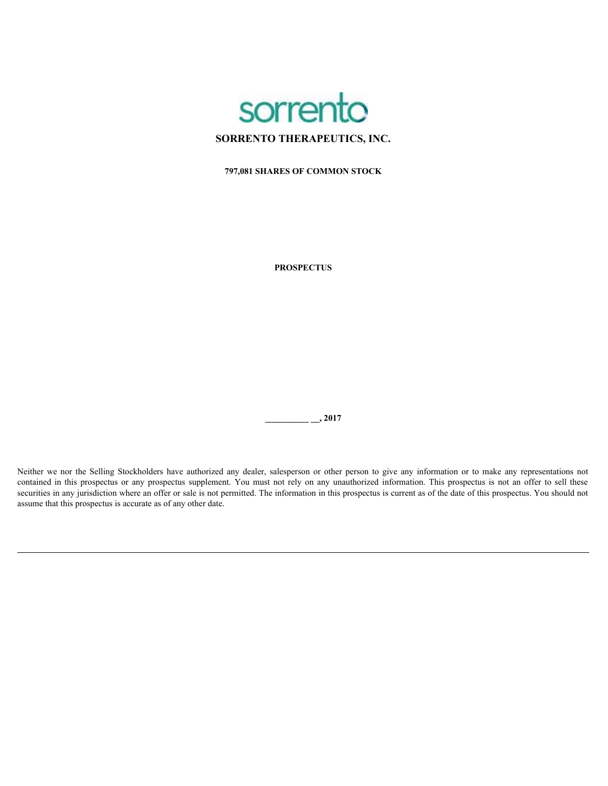

**797,081 SHARES OF COMMON STOCK**

**PROSPECTUS**

**\_\_\_\_\_\_\_\_\_\_ \_\_, 2017**

Neither we are the Selling Stockholders have authorized any dealer, subspectra or educ person to give any information or to make any representations not contained a make person or  $\frac{1}{2}$  and  $\frac{1}{2}$  and  $\frac{1}{2}$  and contained in this prospectus or any prospectus that the must not contained in the prospectus in the order of the supplement. You must not copy on any unauthorized information. This prospectus is not in order to sell these securities in any jurisdiction where an offer or sale is not permitted. The information in this prospectus is current as of the date of this prospectus. You should not assume that this prospectus is accurate as of any other date.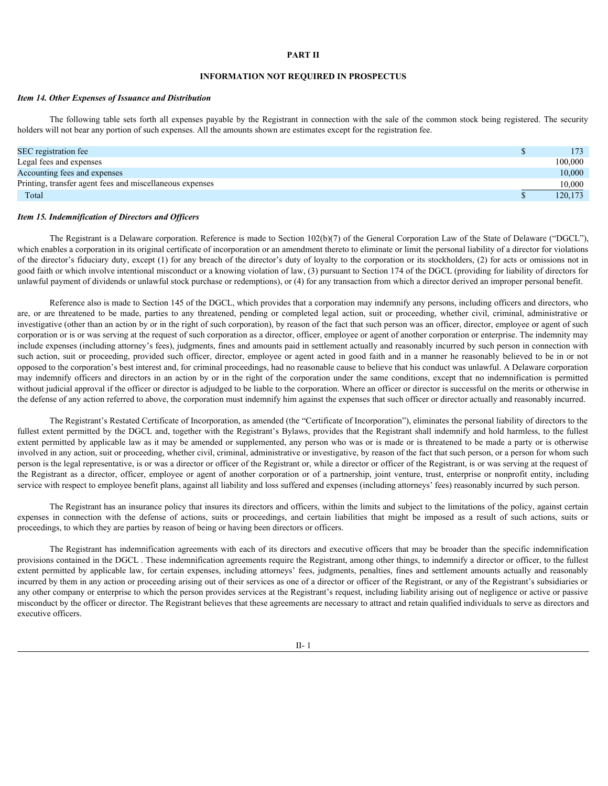#### **PART II**

#### **INFORMATION NOT REQUIRED IN PROSPECTUS**

#### *Item 14. Other Expenses of Issuance and Distribution*

The following table sets forth all expenses payable by the Registrant in connection with the sale of the common stock being registered. The security holders will not bear any portion of such expenses. All the amounts shown are estimates except for the registration fee.

| SEC registration fee                                     | 173     |
|----------------------------------------------------------|---------|
| Legal fees and expenses                                  | 100,000 |
| Accounting fees and expenses                             | 10,000  |
| Printing, transfer agent fees and miscellaneous expenses | 10,000  |
| Total                                                    | 120,173 |

#### *Item 15. Indemnification of Directors and Officers*

The Registrant is a Delaware corporation. Reference is made to Section 102(b)(7) of the General Corporation Law of the State of Delaware ("DGCL"), which enables a corporation in its original certificate of incorporation or an amendment thereto to eliminate or limit the personal liability of a director for violations of the director's fiduciary duty, except (1) for any breach of the director's duty of loyalty to the corporation or its stockholders, (2) for acts or omissions not in good faith or which involve intentional misconduct or a knowing violation of law, (3) pursuant to Section 174 of the DGCL (providing for liability of directors for unlawful payment of dividends or unlawful stock purchase or redemptions), or (4) for any transaction from which a director derived an improper personal benefit.

Reference also is made to Section 145 of the DGCL, which provides that a corporation may indemnify any persons, including officers and directors, who **EXECUTE:**<br> **EXECUTE:**<br> **EXECUTE:**<br> **EXECUTE:**<br> **EXECUTE:**<br> **EXECUTE:**<br> **EXECUTE:**<br> **EXECUTE:**<br> **EXECUTE:**<br> **EXECUTE:**<br> **EXECUTE:**<br> **EXECUTE:**<br> **EXECUTE:**<br> **EXECUTE:**<br> **EXECUTE:**<br> **EXECUTE:**<br> **EXECUTE:**<br> **EXECUTE:**<br> **EXEC** investigative (other than an action by or in the right of such corporation), by reason of the fact that such person was an officer, director, employee or agent of such corporation or is or was serving at the request of such corporation as a director, officer, employee or agent of another corporation or enterprise. The indemnity may include expenses (including attorney's fees), judgments, fines and amounts paid in settlement actually and reasonably incurred by such person in connection with such action, suit or proceeding, provided such officer, director, employee or agent acted in good faith and in a manner he reasonably believed to be in or not opposed to the corporation's best interest and, for criminal proceedings, had no reasonable cause to believe that his conduct was unlawful. A Delaware corporation **EXELT IF THE PARTIME INTERT (FORMATION SYDNERTIES)**<br> **The following the set formal equality of the Formal equality of the Registrate in connection with the set of the common stock being registered. The security and be be** without judicial approval if the officer or director is adjudged to be liable to the corporation. Where an officer or director is successful on the merits or otherwise in the defense of any action referred to above, the corporation must indemnify him against the expenses that such officer or director actually and reasonably incurred. SUC threshold on the employee the corporation is employeed to the employee the corporation of  $\sim$ 19.31.23<br>
CAN absolution graphes and the employee the matrix of a partnership is the corporation of a partnership is a matr Treat<br>
The *Machimedian of Directive and Officers*<br>
I. Its dependent in the degree confident in the connection of a method with the observe of the second in connection<br>
which action the the proportion of action of a machi

The Registrant's Restated Certificate of Incorporation, as amended (the "Certificate of Incorporation"), eliminates the personal liability of directors to the fullest extent permitted by the DGCL and, together with the Registrant's Bylaws, provides that the Registrant shall indemnify and hold harmless, to the fullest extent permitted by applicable law as it may be amended or supplemented, any person who was or is made or is threatened to be made a party or is otherwise involved in any action, suit or proceeding, whether civil, criminal, administrative or investigative, by reason of the fact that such person, or a person for whom such person is the legal representative, is or was a director or officer of the Registrant or, while a director or officer of the Registrant, is or was serving at the request of service with respect to employee benefit plans, against all liability and loss suffered and expenses (including attorneys' fees) reasonably incurred by such person.

The Registrant has an insurance policy that insures its directors and officers, within the limits and subject to the limitations of the policy, against certain proceedings, to which they are parties by reason of being or having been directors or officers.

The Registrant has indemnification agreements with each of its directors and executive officers that may be broader than the specific indemnification provisions contained in the DGCL . These indemnification agreements require the Registrant, among other things, to indemnify a director or officer, to the fullest extent permitted by applicable law, for certain expenses, including attorneys' fees, judgments, penalties, fines and settlement amounts actually and reasonably incurred by them in any action or proceeding arising out of their services as one of a director or officer of the Registrant, or any of the Registrant's subsidiaries or any other company or enterprise to which the person provides services at the Registrant's request, including liability arising out of negligence or active or passive misconduct by the officer or director. The Registrant believes that these agreements are necessary to attract and retain qualified individuals to serve as directors and executive officers.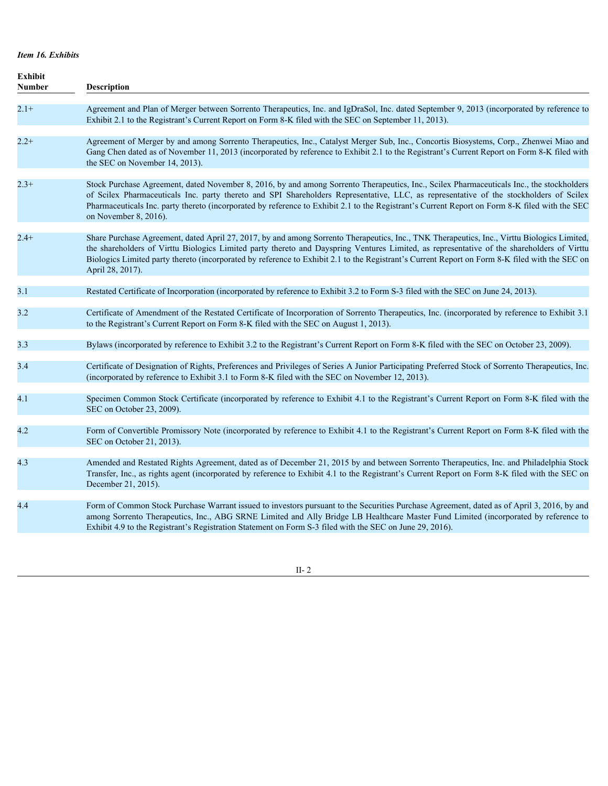#### *Item 16. Exhibits*

| Item 16. Exhibits                                                                                                                                                                                                                                                                                                                                                                                                                                               |
|-----------------------------------------------------------------------------------------------------------------------------------------------------------------------------------------------------------------------------------------------------------------------------------------------------------------------------------------------------------------------------------------------------------------------------------------------------------------|
| <b>Description</b>                                                                                                                                                                                                                                                                                                                                                                                                                                              |
| Agreement and Plan of Merger between Sorrento Therapeutics, Inc. and IgDraSol, Inc. dated September 9, 2013 (incorporated by reference to<br>Exhibit 2.1 to the Registrant's Current Report on Form 8-K filed with the SEC on September 11, 2013).                                                                                                                                                                                                              |
| Agreement of Merger by and among Sorrento Therapeutics, Inc., Catalyst Merger Sub, Inc., Concortis Biosystems, Corp., Zhenwei Miao and<br>Gang Chen dated as of November 11, 2013 (incorporated by reference to Exhibit 2.1 to the Registrant's Current Report on Form 8-K filed with<br>the SEC on November 14, 2013).                                                                                                                                         |
| Stock Purchase Agreement, dated November 8, 2016, by and among Sorrento Therapeutics, Inc., Scilex Pharmaceuticals Inc., the stockholders<br>of Scilex Pharmaceuticals Inc. party thereto and SPI Shareholders Representative, LLC, as representative of the stockholders of Scilex<br>Pharmaceuticals Inc. party thereto (incorporated by reference to Exhibit 2.1 to the Registrant's Current Report on Form 8-K filed with the SEC<br>on November 8, 2016).  |
| Share Purchase Agreement, dated April 27, 2017, by and among Sorrento Therapeutics, Inc., TNK Therapeutics, Inc., Virttu Biologics Limited,<br>the shareholders of Virttu Biologics Limited party thereto and Dayspring Ventures Limited, as representative of the shareholders of Virttu<br>Biologics Limited party thereto (incorporated by reference to Exhibit 2.1 to the Registrant's Current Report on Form 8-K filed with the SEC on<br>April 28, 2017). |
| Restated Certificate of Incorporation (incorporated by reference to Exhibit 3.2 to Form S-3 filed with the SEC on June 24, 2013).                                                                                                                                                                                                                                                                                                                               |
| Certificate of Amendment of the Restated Certificate of Incorporation of Sorrento Therapeutics, Inc. (incorporated by reference to Exhibit 3.1<br>to the Registrant's Current Report on Form 8-K filed with the SEC on August 1, 2013).                                                                                                                                                                                                                         |
| Bylaws (incorporated by reference to Exhibit 3.2 to the Registrant's Current Report on Form 8-K filed with the SEC on October 23, 2009).                                                                                                                                                                                                                                                                                                                        |
| Certificate of Designation of Rights, Preferences and Privileges of Series A Junior Participating Preferred Stock of Sorrento Therapeutics, Inc.<br>(incorporated by reference to Exhibit 3.1 to Form 8-K filed with the SEC on November 12, 2013).                                                                                                                                                                                                             |
| Specimen Common Stock Certificate (incorporated by reference to Exhibit 4.1 to the Registrant's Current Report on Form 8-K filed with the<br>SEC on October 23, 2009).                                                                                                                                                                                                                                                                                          |
| Form of Convertible Promissory Note (incorporated by reference to Exhibit 4.1 to the Registrant's Current Report on Form 8-K filed with the<br>SEC on October 21, 2013).                                                                                                                                                                                                                                                                                        |
| Amended and Restated Rights Agreement, dated as of December 21, 2015 by and between Sorrento Therapeutics, Inc. and Philadelphia Stock<br>Transfer, Inc., as rights agent (incorporated by reference to Exhibit 4.1 to the Registrant's Current Report on Form 8-K filed with the SEC on<br>December 21, 2015).                                                                                                                                                 |
| Form of Common Stock Purchase Warrant issued to investors pursuant to the Securities Purchase Agreement, dated as of April 3, 2016, by and<br>among Sorrento Therapeutics, Inc., ABG SRNE Limited and Ally Bridge LB Healthcare Master Fund Limited (incorporated by reference to<br>Exhibit 4.9 to the Registrant's Registration Statement on Form S-3 filed with the SEC on June 29, 2016).                                                                   |
|                                                                                                                                                                                                                                                                                                                                                                                                                                                                 |

II- 2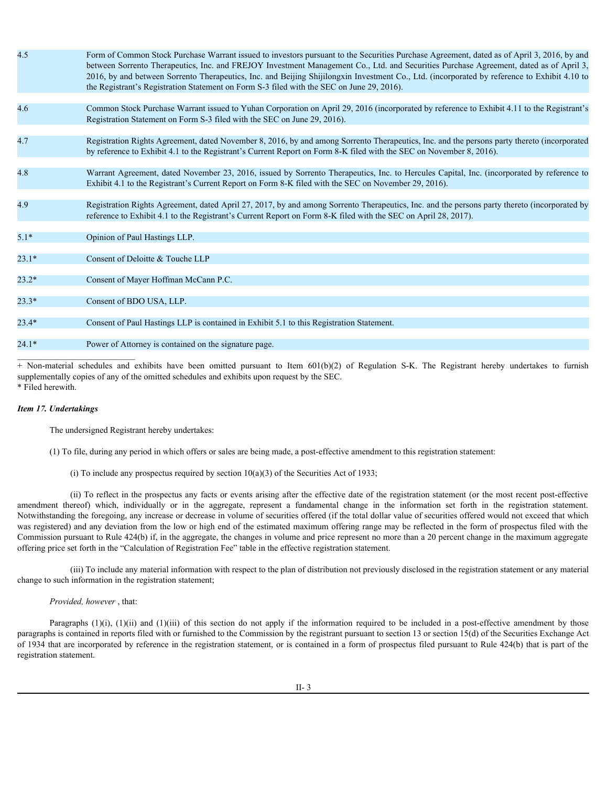| 4.5                          | Form of Common Stock Purchase Warrant issued to investors pursuant to the Securities Purchase Agreement, dated as of April 3, 2016, by and<br>between Sorrento Therapeutics, Inc. and FREJOY Investment Management Co., Ltd. and Securities Purchase Agreement, dated as of April 3,<br>2016, by and between Sorrento Therapeutics, Inc. and Beijing Shijilongxin Investment Co., Ltd. (incorporated by reference to Exhibit 4.10 to<br>the Registrant's Registration Statement on Form S-3 filed with the SEC on June 29, 2016).                                                                                                                                                                                                                                                                                                                                                                                                             |
|------------------------------|-----------------------------------------------------------------------------------------------------------------------------------------------------------------------------------------------------------------------------------------------------------------------------------------------------------------------------------------------------------------------------------------------------------------------------------------------------------------------------------------------------------------------------------------------------------------------------------------------------------------------------------------------------------------------------------------------------------------------------------------------------------------------------------------------------------------------------------------------------------------------------------------------------------------------------------------------|
| 4.6                          | Common Stock Purchase Warrant issued to Yuhan Corporation on April 29, 2016 (incorporated by reference to Exhibit 4.11 to the Registrant's<br>Registration Statement on Form S-3 filed with the SEC on June 29, 2016).                                                                                                                                                                                                                                                                                                                                                                                                                                                                                                                                                                                                                                                                                                                        |
| 4.7                          | Registration Rights Agreement, dated November 8, 2016, by and among Sorrento Therapeutics, Inc. and the persons party thereto (incorporated<br>by reference to Exhibit 4.1 to the Registrant's Current Report on Form 8-K filed with the SEC on November 8, 2016).                                                                                                                                                                                                                                                                                                                                                                                                                                                                                                                                                                                                                                                                            |
| 4.8                          | Warrant Agreement, dated November 23, 2016, issued by Sorrento Therapeutics, Inc. to Hercules Capital, Inc. (incorporated by reference to<br>Exhibit 4.1 to the Registrant's Current Report on Form 8-K filed with the SEC on November 29, 2016).                                                                                                                                                                                                                                                                                                                                                                                                                                                                                                                                                                                                                                                                                             |
| 4.9                          | Registration Rights Agreement, dated April 27, 2017, by and among Sorrento Therapeutics, Inc. and the persons party thereto (incorporated by<br>reference to Exhibit 4.1 to the Registrant's Current Report on Form 8-K filed with the SEC on April 28, 2017).                                                                                                                                                                                                                                                                                                                                                                                                                                                                                                                                                                                                                                                                                |
| $5.1*$                       | Opinion of Paul Hastings LLP.                                                                                                                                                                                                                                                                                                                                                                                                                                                                                                                                                                                                                                                                                                                                                                                                                                                                                                                 |
| $23.1*$                      | Consent of Deloitte & Touche LLP                                                                                                                                                                                                                                                                                                                                                                                                                                                                                                                                                                                                                                                                                                                                                                                                                                                                                                              |
| $23.2*$                      | Consent of Mayer Hoffman McCann P.C.                                                                                                                                                                                                                                                                                                                                                                                                                                                                                                                                                                                                                                                                                                                                                                                                                                                                                                          |
| $23.3*$                      | Consent of BDO USA, LLP.                                                                                                                                                                                                                                                                                                                                                                                                                                                                                                                                                                                                                                                                                                                                                                                                                                                                                                                      |
| $23.4*$                      | Consent of Paul Hastings LLP is contained in Exhibit 5.1 to this Registration Statement.                                                                                                                                                                                                                                                                                                                                                                                                                                                                                                                                                                                                                                                                                                                                                                                                                                                      |
| $24.1*$                      | Power of Attorney is contained on the signature page.                                                                                                                                                                                                                                                                                                                                                                                                                                                                                                                                                                                                                                                                                                                                                                                                                                                                                         |
| * Filed herewith.            | + Non-material schedules and exhibits have been omitted pursuant to Item 601(b)(2) of Regulation S-K. The Registrant hereby undertakes to furnish<br>supplementally copies of any of the omitted schedules and exhibits upon request by the SEC.                                                                                                                                                                                                                                                                                                                                                                                                                                                                                                                                                                                                                                                                                              |
| <b>Item 17. Undertakings</b> |                                                                                                                                                                                                                                                                                                                                                                                                                                                                                                                                                                                                                                                                                                                                                                                                                                                                                                                                               |
|                              | The undersigned Registrant hereby undertakes:                                                                                                                                                                                                                                                                                                                                                                                                                                                                                                                                                                                                                                                                                                                                                                                                                                                                                                 |
|                              | (1) To file, during any period in which offers or sales are being made, a post-effective amendment to this registration statement:                                                                                                                                                                                                                                                                                                                                                                                                                                                                                                                                                                                                                                                                                                                                                                                                            |
|                              | (i) To include any prospectus required by section $10(a)(3)$ of the Securities Act of 1933;                                                                                                                                                                                                                                                                                                                                                                                                                                                                                                                                                                                                                                                                                                                                                                                                                                                   |
|                              | (ii) To reflect in the prospectus any facts or events arising after the effective date of the registration statement (or the most recent post-effective<br>amendment thereof) which, individually or in the aggregate, represent a fundamental change in the information set forth in the registration statement.<br>Notwithstanding the foregoing, any increase or decrease in volume of securities offered (if the total dollar value of securities offered would not exceed that which<br>was registered) and any deviation from the low or high end of the estimated maximum offering range may be reflected in the form of prospectus filed with the<br>Commission pursuant to Rule 424(b) if, in the aggregate, the changes in volume and price represent no more than a 20 percent change in the maximum aggregate<br>offering price set forth in the "Calculation of Registration Fee" table in the effective registration statement. |
|                              | (iii) To include any material information with respect to the plan of distribution not previously disclosed in the registration statement or any material<br>change to such information in the registration statement;                                                                                                                                                                                                                                                                                                                                                                                                                                                                                                                                                                                                                                                                                                                        |

#### *Item 17. Undertakings*

(ii) To reflect in the prospectus any facts or events arising after the effective date of the registration statement (or the most recent post-effective amendment thereof) which, individually or in the aggregate, represent Notwithstanding the foregoing, any increase or decrease in volume of securities offered (if the total dollar value of securities offered would not exceed that which was registered) and any deviation from the low or high end of the estimated maximum offering range may be reflected in the form of prospectus filed with the Commission pursuant to Rule 424(b) if, in the aggregate, the changes in volume and price represent no more than a 20 percent change in the maximum aggregate offering price set forth in the "Calculation of Registration Fee" table in the effective registration statement. Consent of BEO USA, LEP.<br>
Consent of Paul Hairlings LEP is contained in Exhibit 5.1 to this Registration Statement.<br>
Protect of Metory is consisted on the signature page.<br>
Interducing a received to the consention of the c

#### *Provided, however* , that:

paragraphs is contained in reports filed with or furnished to the Commission by the registrant pursuant to section 13 or section 15(d) of the Securities Exchange Act of 1934 that are incorporated by reference in the registration statement, or is contained in a form of prospectus filed pursuant to Rule 424(b) that is part of the registration statement.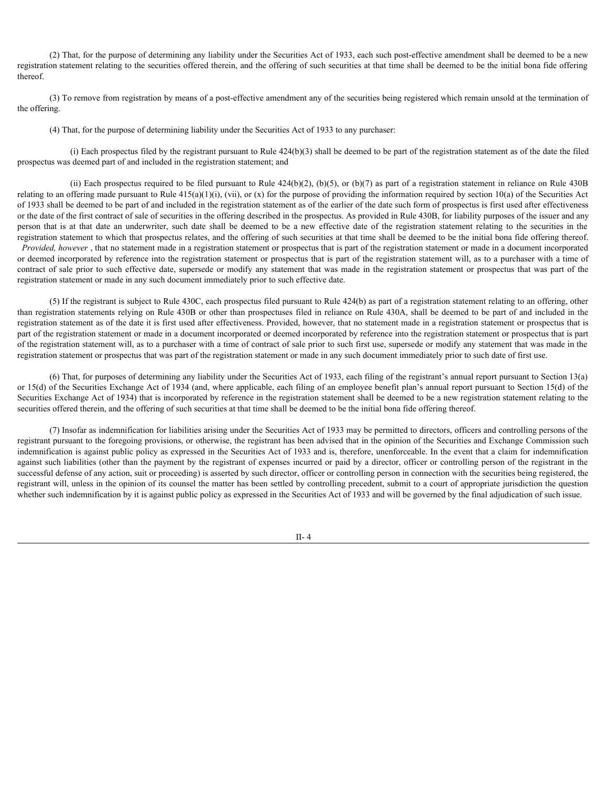(2) That, for the purpose of determining any liability under the Securities Act of 1933, each such post-effective amendment shall be deemed to be a new registration statement relating to the securities offered therein, and the offering of such securities at that time shall be deemed to be the initial bona fide offering thereof.

(3) To remove from registration by means of a post-effective amendment any of the securities being registered which remain unsold at the termination of the offering.

(4) That, for the purpose of determining liability under the Securities Act of 1933 to any purchaser:

(i) Each prospectus filed by the registrant pursuant to Rule  $424(b)(3)$  shall be deemed to be part of the registration statement as of the date the filed prospectus was deemed part of and included in the registration statement; and

(ii) Each prospectus required to be filed pursuant to Rule  $424(b)(2)$ ,  $(b)(5)$ , or  $(b)(7)$  as part of a registration statement in reliance on Rule 430B relating to an offering made pursuant to Rule  $415(a)(1)(i)$ , (vii), or (x) for the purpose of providing the information required by section 10(a) of the Securities Act of 1933 shall be deemed to be part of and included in the registration statement as of the earlier of the date such form of prospectus is first used after effectiveness or the date of the first contract of sale of securities in the offering described in the prospectus. As provided in Rule 430B, for liability purposes of the issuer and any (2) That, for the purpose of determining any liability under the Securities Act of 1933, each such post-effective amendment shall be deemed to be the initial bon disc offering.<br>Unretated that in the such states of the sec registration statement to which that prospectus relates, and the offering of such securities at that time shall be deemed to be the initial bona fide offering thereof.  *Provided, however* , that no statement made in a registration statement or prospectus that is part of the registration statement or made in a document incorporated (2) Thus, for the purpose of determining any liability under the Socurities Act of 1933, each such post-flective mendiates to his contract a substitution and the offering of such accurities at that time shall be decemed t

or deemed incorporated by reference into the registration statement or prospectus that is part of the registration statement will, as to a purchaser with a time of registration statement or made in any such document immediately prior to such effective date.

(5) If the registrant is subject to Rule 430C, each prospectus filed pursuant to Rule 424(b) as part of a registration statement relating to an offering, other than registration statements relying on Rule 430B or other than prospectuses filed in reliance on Rule 430A, shall be deemed to be part of and included in the registration statement as of the date it is first used after effectiveness. Provided, however, that no statement made in a registration statement or prospectus that is part of the registration statement or made in a document incorporated or deemed incorporated by reference into the registration statement or prospectus that is part of the registration statement will, as to a purchaser with a time of contract of sale prior to such first use, supersede or modify any statement that was made in the registration statement or prospectus that was part of the registration statement or made in any such document immediately prior to such date of first use.

(6) That, for purposes of determining any liability under the Securities Act of 1933, each filing of the registrant's annual report pursuant to Section 13(a) or 15(d) of the Securities Exchange Act of 1934 (and, where applicable, each filing of an employee benefit plan's annual report pursuant to Section 15(d) of the Securities Exchange Act of 1934) that is incorporated by reference in the registration statement shall be deemed to be a new registration statement relating to the securities offered therein, and the offering of such securities at that time shall be deemed to be the initial bona fide offering thereof.

(7) Insofar as indemnification for liabilities arising under the Securities Act of 1933 may be permitted to directors, officers and controlling persons of the registrant pursuant to the foregoing provisions, or otherwise, the registrant has been advised that in the opinion of the Securities and Exchange Commission such indemnification is against public policy as expressed in the Securities Act of 1933 and is, therefore, unenforceable. In the event that a claim for indemnification against such liabilities (other than the payment by the registrant of expenses incurred or paid by a director, officer or controlling person of the registrant in the successful defense of any action, suit or proceeding) is asserted by such director, officer or controlling person in connection with the securities being registered, the registrant will, unless in the opinion of its counsel the matter has been settled by controlling precedent, submit to a court of appropriate jurisdiction the question whether such indemnification by it is against public policy as expressed in the Securities Act of 1933 and will be governed by the final adjudication of such issue.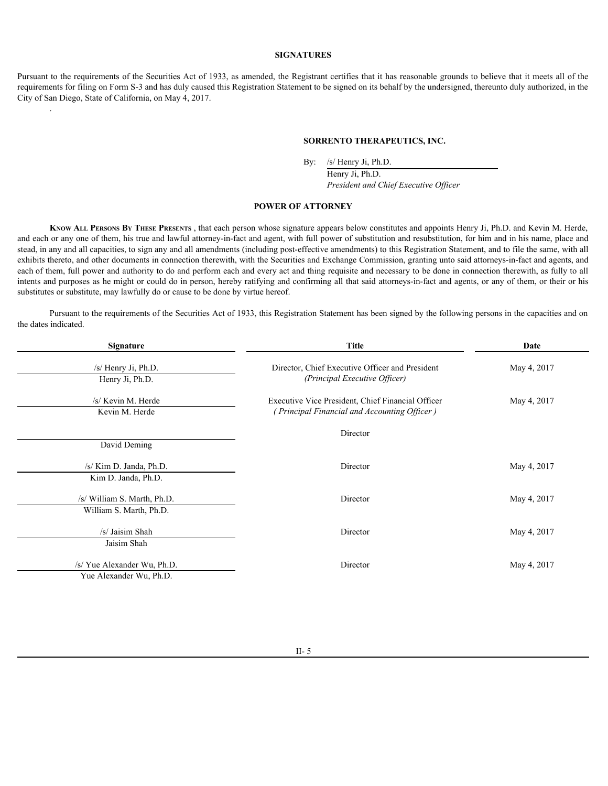#### **SIGNATURES**

Pursuant to the requirements of the Securities Act of 1933, as amended, the Registrant certifies that it has reasonable grounds to believe that it meets all of the requirements for filing on Form S-3 and has duly caused this Registration Statement to be signed on its behalf by the undersigned, thereunto duly authorized, in the City of San Diego, State of California, on May 4, 2017.

.

#### **SORRENTO THERAPEUTICS, INC.**

By: /s/ Henry Ji, Ph.D.

Henry Ji, Ph.D. *President and Chief Executive Officer*

#### **POwER OF ATTORNEy**

KNOW ALL PERSONS BY THESE PRESENTS, that each person whose signature appears below constitutes and appoints Henry Ji, Ph.D. and Kevin M. Herde, and each or any one of them, his true and lawful attorney-in-fact and agent, with full power of substitution and resubstitution, for him and in his name, place and stead, in any and all capacities, to sign any and all amendments (including post-effective amendments) to this Registration Statement, and to file the same, with all exhibits thereto, and other documents in connection therewith, with the Securities and Exchange Commission, granting unto said attorneys-in-fact and agents, and each of them, full power and authority to do and perform each and every act and thing requisite and necessary to be done in connection therewith, as fully to all intents and purposes as he might or could do in person, hereby ratifying and confirming all that said attorneys-in-fact and agents, or any of them, or their or his substitutes or substitute, may lawfully do or cause to be done by virtue hereof.

Pursuant to the requirements of the Securities Act of 1933, this Registration Statement has been signed by the following persons in the capacities and on the dates indicated.

| Signature                   | <b>Title</b>                                      | Date        |
|-----------------------------|---------------------------------------------------|-------------|
| /s/ Henry Ji, Ph.D.         | Director, Chief Executive Officer and President   | May 4, 2017 |
| Henry Ji, Ph.D.             | (Principal Executive Officer)                     |             |
| /s/ Kevin M. Herde          | Executive Vice President, Chief Financial Officer | May 4, 2017 |
| Kevin M. Herde              | (Principal Financial and Accounting Officer)      |             |
|                             | Director                                          |             |
| David Deming                |                                                   |             |
| /s/ Kim D. Janda, Ph.D.     | Director                                          | May 4, 2017 |
| Kim D. Janda, Ph.D.         |                                                   |             |
|                             |                                                   |             |
| /s/ William S. Marth, Ph.D. | Director                                          | May 4, 2017 |
| William S. Marth, Ph.D.     |                                                   |             |
| /s/ Jaisim Shah             | Director                                          | May 4, 2017 |
| Jaisim Shah                 |                                                   |             |
| /s/ Yue Alexander Wu, Ph.D. | Director                                          | May 4, 2017 |
| Yue Alexander Wu, Ph.D.     |                                                   |             |
|                             |                                                   |             |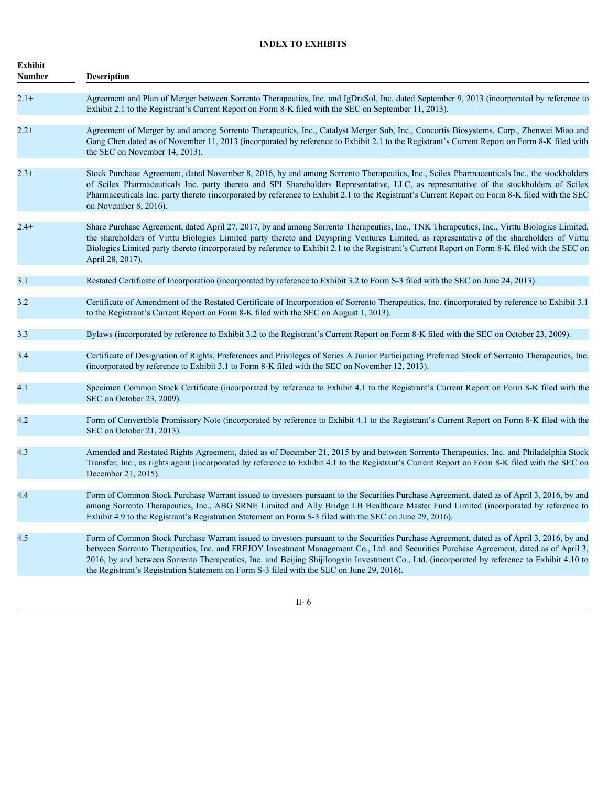### **INDEX TO EXHIBITS**

|                          | <b>INDEX TO EXHIBITS</b>                                                                                                                                                                                                                                                                                                                                                                                                                                                                                                          |
|--------------------------|-----------------------------------------------------------------------------------------------------------------------------------------------------------------------------------------------------------------------------------------------------------------------------------------------------------------------------------------------------------------------------------------------------------------------------------------------------------------------------------------------------------------------------------|
| <b>Exhibit</b><br>Number | <b>Description</b>                                                                                                                                                                                                                                                                                                                                                                                                                                                                                                                |
| $2.1+$                   | Agreement and Plan of Merger between Sorrento Therapeutics, Inc. and IgDraSol, Inc. dated September 9, 2013 (incorporated by reference to<br>Exhibit 2.1 to the Registrant's Current Report on Form 8-K filed with the SEC on September 11, 2013).                                                                                                                                                                                                                                                                                |
| $2.2+$                   | Agreement of Merger by and among Sorrento Therapeutics, Inc., Catalyst Merger Sub, Inc., Concortis Biosystems, Corp., Zhenwei Miao and<br>Gang Chen dated as of November 11, 2013 (incorporated by reference to Exhibit 2.1 to the Registrant's Current Report on Form 8-K filed with<br>the SEC on November 14, 2013).                                                                                                                                                                                                           |
| $2.3+$                   | Stock Purchase Agreement, dated November 8, 2016, by and among Sorrento Therapeutics, Inc., Scilex Pharmaceuticals Inc., the stockholders<br>of Scilex Pharmaceuticals Inc. party thereto and SPI Shareholders Representative, LLC, as representative of the stockholders of Scilex<br>Pharmaceuticals Inc. party thereto (incorporated by reference to Exhibit 2.1 to the Registrant's Current Report on Form 8-K filed with the SEC<br>on November 8, 2016).                                                                    |
| $2.4+$                   | Share Purchase Agreement, dated April 27, 2017, by and among Sorrento Therapeutics, Inc., TNK Therapeutics, Inc., Virttu Biologics Limited,<br>the shareholders of Virttu Biologics Limited party thereto and Dayspring Ventures Limited, as representative of the shareholders of Virttu<br>Biologics Limited party thereto (incorporated by reference to Exhibit 2.1 to the Registrant's Current Report on Form 8-K filed with the SEC on<br>April 28, 2017).                                                                   |
| 3.1                      | Restated Certificate of Incorporation (incorporated by reference to Exhibit 3.2 to Form S-3 filed with the SEC on June 24, 2013).                                                                                                                                                                                                                                                                                                                                                                                                 |
| 3.2                      | Certificate of Amendment of the Restated Certificate of Incorporation of Sorrento Therapeutics, Inc. (incorporated by reference to Exhibit 3.1<br>to the Registrant's Current Report on Form 8-K filed with the SEC on August 1, 2013).                                                                                                                                                                                                                                                                                           |
| 3.3                      | Bylaws (incorporated by reference to Exhibit 3.2 to the Registrant's Current Report on Form 8-K filed with the SEC on October 23, 2009).                                                                                                                                                                                                                                                                                                                                                                                          |
| 3.4                      | Certificate of Designation of Rights, Preferences and Privileges of Series A Junior Participating Preferred Stock of Sorrento Therapeutics, Inc.<br>(incorporated by reference to Exhibit 3.1 to Form 8-K filed with the SEC on November 12, 2013).                                                                                                                                                                                                                                                                               |
| 4.1                      | Specimen Common Stock Certificate (incorporated by reference to Exhibit 4.1 to the Registrant's Current Report on Form 8-K filed with the<br>SEC on October 23, 2009).                                                                                                                                                                                                                                                                                                                                                            |
| 4.2                      | Form of Convertible Promissory Note (incorporated by reference to Exhibit 4.1 to the Registrant's Current Report on Form 8-K filed with the<br>SEC on October 21, 2013).                                                                                                                                                                                                                                                                                                                                                          |
| 4.3                      | Amended and Restated Rights Agreement, dated as of December 21, 2015 by and between Sorrento Therapeutics, Inc. and Philadelphia Stock<br>Transfer, Inc., as rights agent (incorporated by reference to Exhibit 4.1 to the Registrant's Current Report on Form 8-K filed with the SEC on<br>December 21, 2015).                                                                                                                                                                                                                   |
| 4.4                      | Form of Common Stock Purchase Warrant issued to investors pursuant to the Securities Purchase Agreement, dated as of April 3, 2016, by and<br>among Sorrento Therapeutics, Inc., ABG SRNE Limited and Ally Bridge LB Healthcare Master Fund Limited (incorporated by reference to<br>Exhibit 4.9 to the Registrant's Registration Statement on Form S-3 filed with the SEC on June 29, 2016).                                                                                                                                     |
| 4.5                      | Form of Common Stock Purchase Warrant issued to investors pursuant to the Securities Purchase Agreement, dated as of April 3, 2016, by and<br>between Sorrento Therapeutics, Inc. and FREJOY Investment Management Co., Ltd. and Securities Purchase Agreement, dated as of April 3,<br>2016, by and between Sorrento Therapeutics, Inc. and Beijing Shijilongxin Investment Co., Ltd. (incorporated by reference to Exhibit 4.10 to<br>the Registrant's Registration Statement on Form S-3 filed with the SEC on June 29, 2016). |
|                          |                                                                                                                                                                                                                                                                                                                                                                                                                                                                                                                                   |

II- 6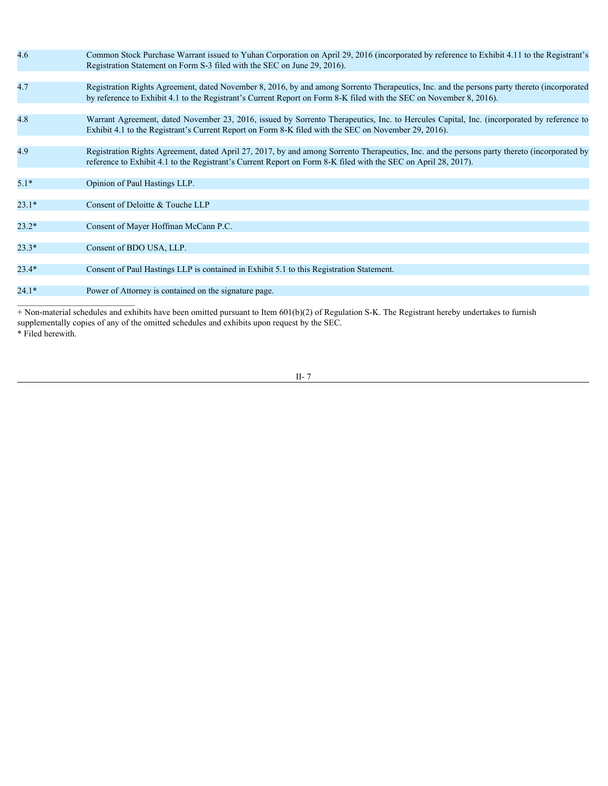| 4.6     | Common Stock Purchase Warrant issued to Yuhan Corporation on April 29, 2016 (incorporated by reference to Exhibit 4.11 to the Registrant's<br>Registration Statement on Form S-3 filed with the SEC on June 29, 2016).                                             |
|---------|--------------------------------------------------------------------------------------------------------------------------------------------------------------------------------------------------------------------------------------------------------------------|
| 4.7     | Registration Rights Agreement, dated November 8, 2016, by and among Sorrento Therapeutics, Inc. and the persons party thereto (incorporated<br>by reference to Exhibit 4.1 to the Registrant's Current Report on Form 8-K filed with the SEC on November 8, 2016). |
|         |                                                                                                                                                                                                                                                                    |
| 4.8     | Warrant Agreement, dated November 23, 2016, issued by Sorrento Therapeutics, Inc. to Hercules Capital, Inc. (incorporated by reference to<br>Exhibit 4.1 to the Registrant's Current Report on Form 8-K filed with the SEC on November 29, 2016).                  |
|         |                                                                                                                                                                                                                                                                    |
| 4.9     | Registration Rights Agreement, dated April 27, 2017, by and among Sorrento Therapeutics, Inc. and the persons party thereto (incorporated by<br>reference to Exhibit 4.1 to the Registrant's Current Report on Form 8-K filed with the SEC on April 28, 2017).     |
|         |                                                                                                                                                                                                                                                                    |
| $5.1*$  | Opinion of Paul Hastings LLP.                                                                                                                                                                                                                                      |
|         |                                                                                                                                                                                                                                                                    |
| $23.1*$ | Consent of Deloitte & Touche LLP                                                                                                                                                                                                                                   |
|         |                                                                                                                                                                                                                                                                    |
| $23.2*$ | Consent of Mayer Hoffman McCann P.C.                                                                                                                                                                                                                               |
|         |                                                                                                                                                                                                                                                                    |
| $23.3*$ | Consent of BDO USA, LLP.                                                                                                                                                                                                                                           |
|         |                                                                                                                                                                                                                                                                    |
| $23.4*$ | Consent of Paul Hastings LLP is contained in Exhibit 5.1 to this Registration Statement.                                                                                                                                                                           |
|         |                                                                                                                                                                                                                                                                    |
| $24.1*$ | Power of Attorney is contained on the signature page.                                                                                                                                                                                                              |
|         |                                                                                                                                                                                                                                                                    |

+ Non-material schedules and exhibits have been omitted pursuant to Item 601(b)(2) of Regulation S-K. The Registrant hereby undertakes to furnish supplementally copies of any of the omitted schedules and exhibits upon request by the SEC.

\* Filed herewith.

II- 7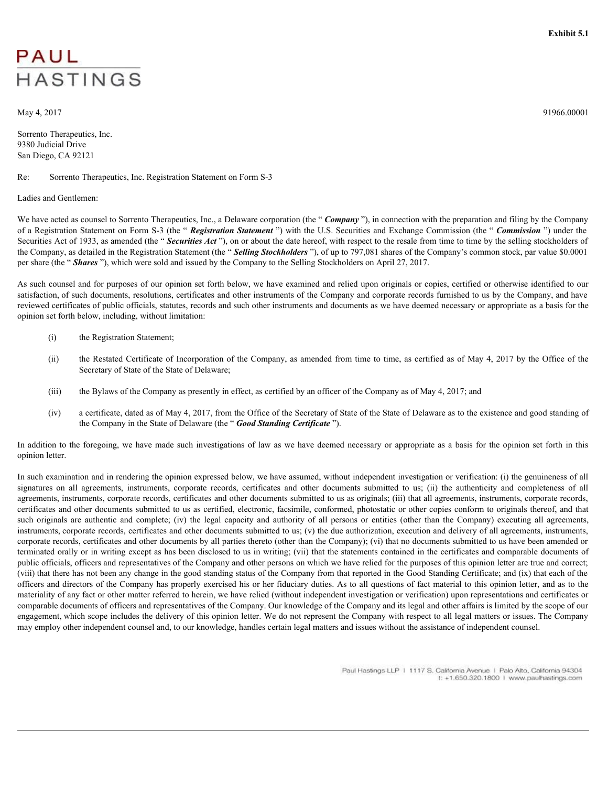# PAUL HASTINGS

May 4, 2017 **91966.00001** 

Sorrento Therapeutics, Inc. 9380 Judicial Drive San Diego, CA 92121

#### Re: Sorrento Therapeutics, Inc. Registration Statement on Form S-3

Ladies and Gentlemen:

We have acted as counsel to Sorrento Therapeutics, Inc., a Delaware corporation (the "*Company*"), in connection with the preparation and filing by the Company of a Registration Statement on Form S-3 (the "*Registration Statement*") with the U.S. Securities and Exchange Commission (the "*Commission*") under the Securities Act of 1933, as amended (the "*Securities Act*"), on or about the date hereof, with respect to the resale from time to time by the selling stockholders of the Company, as detailed in the Registration Statement (the " *Selling Stockholders* "), of up to 797,081 shares of the Company's common stock, par value \$0.0001 per share (the " *Shares* "), which were sold and issued by the Company to the Selling Stockholders on April 27, 2017.

As such counsel and for purposes of our opinion set forth below, we have examined and relied upon originals or copies, certified or otherwise identified to our satisfaction, of such documents, resolutions, certificates and other instruments of the Company and corporate records furnished to us by the Company, and have reviewed certificates of public officials, statutes, records and such other instruments and documents as we have deemed necessary or appropriate as a basis for the opinion set forth below, including, without limitation:

- (i) the Registration Statement;
- (ii) the Restated Certificate of Incorporation of the Company, as amended from time to time, as certified as of May 4, 2017 by the Office of the Secretary of State of the State of Delaware;
- (iii) the Bylaws of the Company as presently in effect, as certified by an officer of the Company as of May 4, 2017; and
- (iv) a certificate, dated as of May 4, 2017, from the Office of the Secretary of State of the State of Delaware as to the existence and good standing of the Company in the State of Delaware (the " *Good Standing Certificate* ").

In addition to the foregoing, we have made such investigations of law as we have deemed necessary or appropriate as a basis for the opinion set forth in this opinion letter.

In such examination and in rendering the opinion expressed below, we have assumed, without independent investigation or verification: (i) the genuineness of all Sorento Theoremis, Inc. Registration Subment on Form S-3<br>
Ladies and Sacrodoxial agreements control on the Company T. in consecutive Company V. The Company We have substitute to the second of the Company of the Company of agreements, instruments, corporate records, certificates and other documents submitted to us as originals; (iii) that all agreements, instruments, corporate records, certificates and other documents submitted to us as certified, electronic, facsimile, conformed, photostatic or other copies conform to originals thereof, and that Ladis and Gerdenco.<br>
Second at counter to Foreston Disrupturies, Inc., a Delawar corporation (the "Company"), is consection with the proporation and fits by the Company<br>
of a Kegaration Steamer on Four S-3 (the "Regalment instruments, corporate records, certificates and other documents submitted to us; (v) the due authorization, execution and delivery of all agreements, instruments, corporate records, certificates and other documents by all parties thereto (other than the Company); (vi) that no documents submitted to us have been amended or terminated orally or in writing except as has been disclosed to us in writing; (vii) that the statements contained in the certificates and comparable documents of public officials, officers and representatives of the Company and other persons on which we have relied for the purposes of this opinion letter are true and correct; (viii) that there has not been any change in the good standing status of the Company from that reported in the Good Standing Certificate; and (ix) that each of the officers and directors of the Company has properly exercised his or her fiduciary duties. As to all questions of fact material to this opinion letter, and as to the materiality of any fact or other matter referred to herein, we have relied (without independent investigation or verification) upon representations and certificates or comparable documents of officers and representatives of the Company. Our knowledge of the Company and its legal and other affairs is limited by the scope of our engagement, which scope includes the delivery of this opinion letter. We do not represent the Company with respect to all legal matters or issues. The Company may employ other independent counsel and, to our knowledge, handles certain legal matters and issues without the assistance of independent counsel.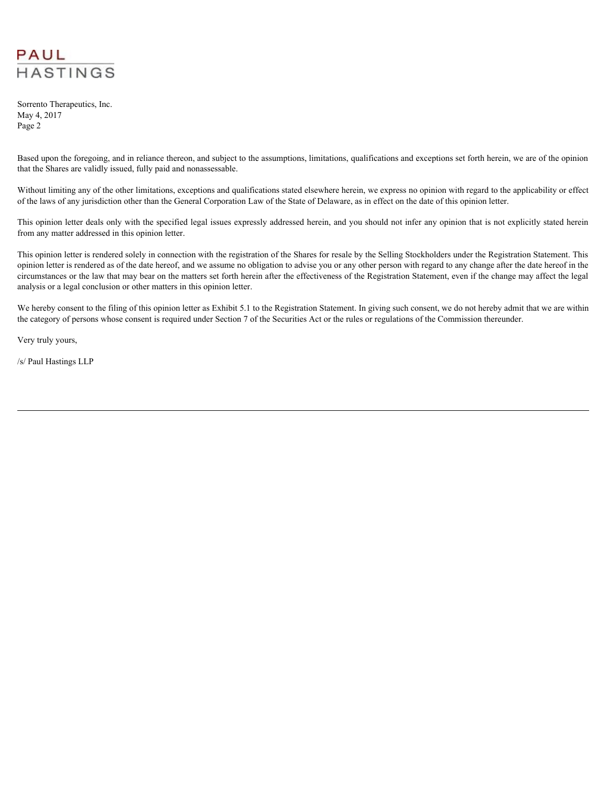

Sorrento Therapeutics, Inc. May 4, 2017 Page 2

Based upon the foregoing, and in reliance thereon, and subject to the assumptions, limitations, qualifications and exceptions set forth herein, we are of the opinion that the Shares are validly issued, fully paid and nonassessable.

Without limiting any of the other limitations, exceptions and qualifications stated elsewhere herein, we express no opinion with regard to the applicability or effect of the laws of any jurisdiction other than the General Corporation Law of the State of Delaware, as in effect on the date of this opinion letter.

This opinion letter deals only with the specified legal issues expressly addressed herein, and you should not infer any opinion that is not explicitly stated herein from any matter addressed in this opinion letter.

This opinion letter is rendered solely in connection with the registration of the Shares for resale by the Selling Stockholders under the Registration Statement. This opinion letter is rendered as of the date hereof, and we assume no obligation to advise you or any other person with regard to any change after the date hereof in the circumstances or the law that may bear on the matters set forth herein after the effectiveness of the Registration Statement, even if the change may affect the legal analysis or a legal conclusion or other matters in this opinion letter.

We hereby consent to the filing of this opinion letter as Exhibit 5.1 to the Registration Statement. In giving such consent, we do not hereby admit that we are within the category of persons whose consent is required under Section 7 of the Securities Act or the rules or regulations of the Commission thereunder.

Very truly yours,

/s/ Paul Hastings LLP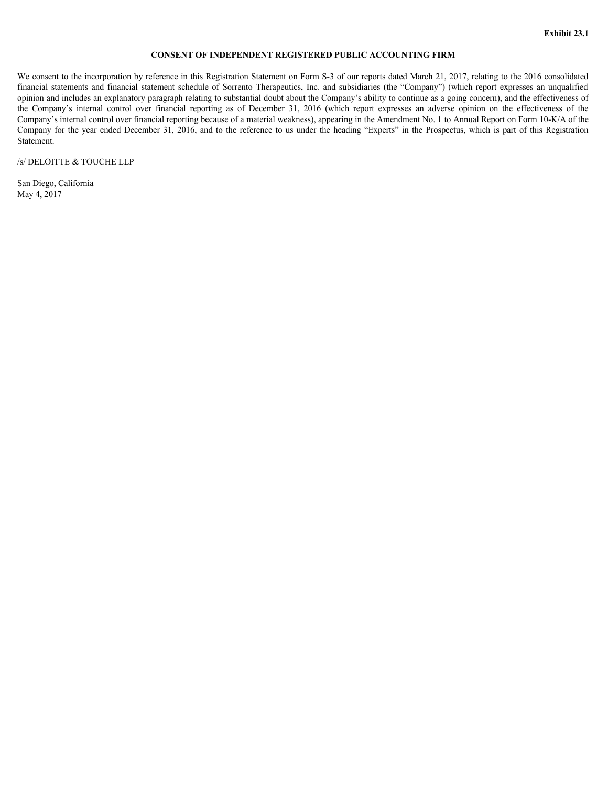#### **CONSENT OF INDEPENDENT REGISTERED PUBLIC ACCOUNTING FIRM**

We consent to the incorporation by reference in this Registration Statement on Form S-3 of our reports dated March 21, 2017, relating to the 2016 consolidated **Exhibit 23.1**<br> **Exhibit 23.1**<br>
We consent to the incorporation by reference in this Registration Statement on Form S-3 of our reports dated March 21, 2017, relating to the 2016 consolidated<br>
financial statements and finan opinion and includes an explanatory paragraph relating to substantial doubt about the Company's ability to continue as a going concern), and the effectiveness of Exhibit 23.1<br>CONSENT OF INDEPENDENT REGISTERED PUBLIC ACCOUNTING FIRM<br>We consent to the incorporation by reference in this Registration Statement on Form S-3 of our reports dated March 21, 2017, relating to the 2016 consol Company's internal control over financial reporting because of a material weakness), appearing in the Amendment No. 1 to Annual Report on Form 10-K/A of the Company for the year ended December 31, 2016, and to the referenc Exhibit 23.1<br>
CONSENT OF INDEPENDENT REGISTERED PUBLIC ACCOUNTING FIRM<br>
The consent to the incorporation by reference in this Registration Statement on Form S-3 of our reports dated March 21, 2017, relating to the 2016 con Statement.

/s/ DELOITTE & TOUCHE LLP

San Diego, California May 4, 2017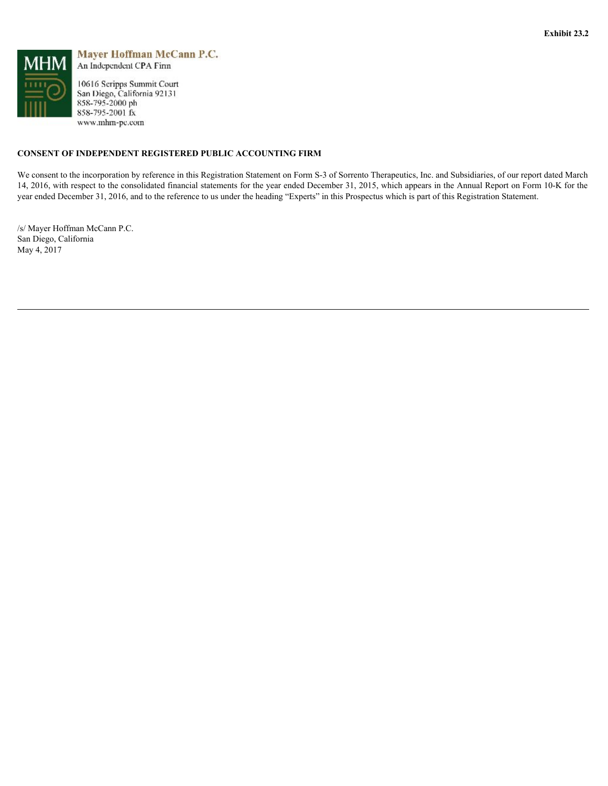

Mayer Hoffman McCann P.C. An Independent CPA Firm

10616 Scripps Summit Court<br>San Diego, California 92131 858-795-2000 ph 858-795-2001 fx www.mhm-pc.com

### **CONSENT OF INDEPENDENT REGISTERED PUBLIC ACCOUNTING FIRM**

We consent to the incorporation by reference in this Registration Statement on Form S-3 of Sorrento Therapeutics, Inc. and Subsidiaries, of our report dated March 14, 2016, with respect to the consolidated financial statements for the year ended December 31, 2015, which appears in the Annual Report on Form 10-K for the year ended December 31, 2016, and to the reference to us under the heading "Experts" in this Prospectus which is part of this Registration Statement.

/s/ Mayer Hoffman McCann P.C. San Diego, California May 4, 2017